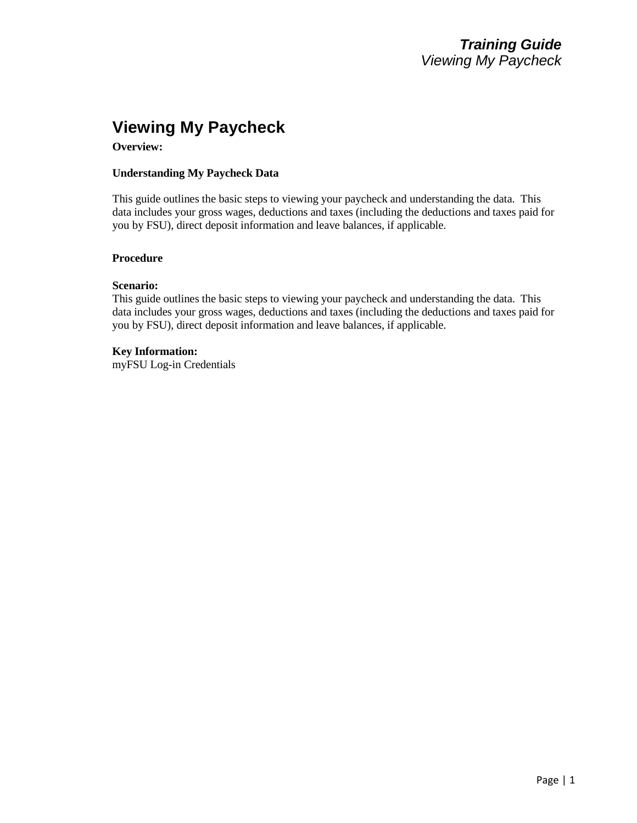# **Viewing My Paycheck**

**Overview:**

#### **Understanding My Paycheck Data**

This guide outlines the basic steps to viewing your paycheck and understanding the data. This data includes your gross wages, deductions and taxes (including the deductions and taxes paid for you by FSU), direct deposit information and leave balances, if applicable.

#### **Procedure**

#### **Scenario:**

This guide outlines the basic steps to viewing your paycheck and understanding the data. This data includes your gross wages, deductions and taxes (including the deductions and taxes paid for you by FSU), direct deposit information and leave balances, if applicable.

#### **Key Information:**

myFSU Log-in Credentials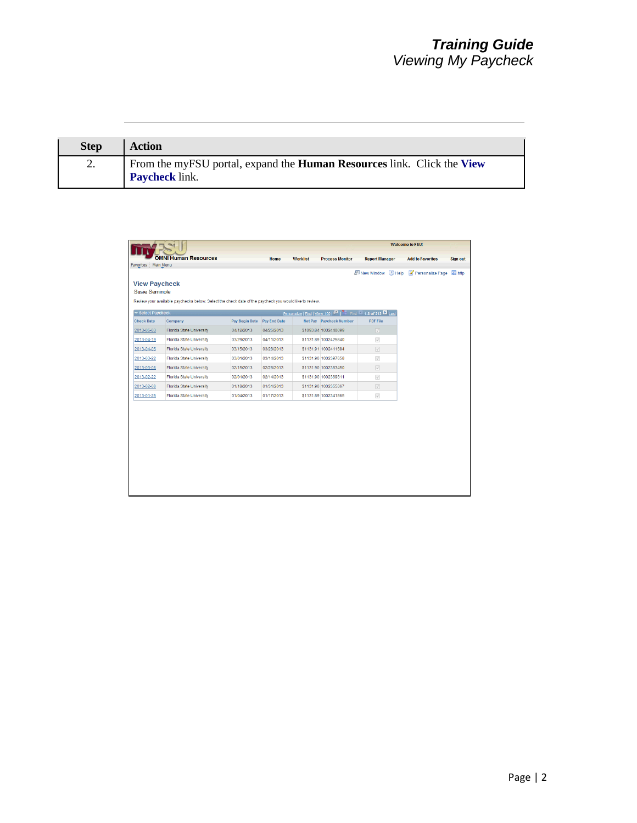| <b>Step</b> | <b>Action</b>                                                                                   |
|-------------|-------------------------------------------------------------------------------------------------|
|             | From the myFSU portal, expand the Human Resources link. Click the View<br><b>Paycheck</b> link. |

|                                               |                                                                                                        |                |              |                 |                                                                    |                       | <b>Welcome to FSU!</b>  |                 |
|-----------------------------------------------|--------------------------------------------------------------------------------------------------------|----------------|--------------|-----------------|--------------------------------------------------------------------|-----------------------|-------------------------|-----------------|
|                                               | <b>OMNI Human Resources</b>                                                                            |                | Home         | <b>Worklist</b> | <b>Process Monitor</b>                                             | <b>Report Manager</b> | <b>Add to Favorites</b> | <b>Sign out</b> |
| Favorites   Main Menu                         |                                                                                                        |                |              |                 |                                                                    |                       |                         |                 |
| <b>View Paycheck</b><br><b>Susie Seminole</b> | Review your available paychecks below. Select the check date of the paycheck you would like to review. |                |              |                 |                                                                    | New Window ? Help     | Personalize Page        | and http        |
| <b>v</b> Select Paycheck                      |                                                                                                        |                |              |                 | Personalize   Find   View 100   E   Hill First   1-8 of 212   Last |                       |                         |                 |
| <b>Check Date</b>                             | Company                                                                                                | Pay Begin Date | Pay End Date |                 | Net Pay Paycheck Number                                            | <b>PDF File</b>       |                         |                 |
| 2013-05-03                                    | <b>Florida State University</b>                                                                        | 04/12/2013     | 04/25/2013   |                 | \$1093.84 1002440099                                               | $\sqrt{2}$            |                         |                 |
| 2013-04-19                                    | <b>Florida State University</b>                                                                        | 03/29/2013     | 04/11/2013   |                 | \$1131.89 1002425840                                               | $\sqrt{ }$            |                         |                 |
| 2013-04-05                                    | <b>Florida State University</b>                                                                        | 03/15/2013     | 03/28/2013   |                 | \$1131.91 1002411684                                               | $\overline{\vee}$     |                         |                 |
| 2013-03-22                                    | <b>Florida State University</b>                                                                        | 03/01/2013     | 03/14/2013   |                 | \$1131.90 1002397658                                               | $\sqrt{ }$            |                         |                 |
| 2013-03-08                                    | <b>Florida State University</b>                                                                        | 02/15/2013     | 02/28/2013   |                 | \$1131.90 1002383450                                               | $\overline{\vee}$     |                         |                 |
| 2013-02-22                                    | <b>Florida State University</b>                                                                        | 02/01/2013     | 02/14/2013   |                 | \$1131.90 1002369311                                               | $\sqrt{ }$            |                         |                 |
| 2013-02-08                                    | <b>Florida State University</b>                                                                        | 01/18/2013     | 01/31/2013   |                 | \$1131.90 1002355367                                               | $\overrightarrow{v}$  |                         |                 |
| 2013-01-25                                    | <b>Florida State University</b>                                                                        | 01/04/2013     | 01/17/2013   |                 | \$1131.89 1002341865                                               | $\sqrt{ }$            |                         |                 |
|                                               |                                                                                                        |                |              |                 |                                                                    |                       |                         |                 |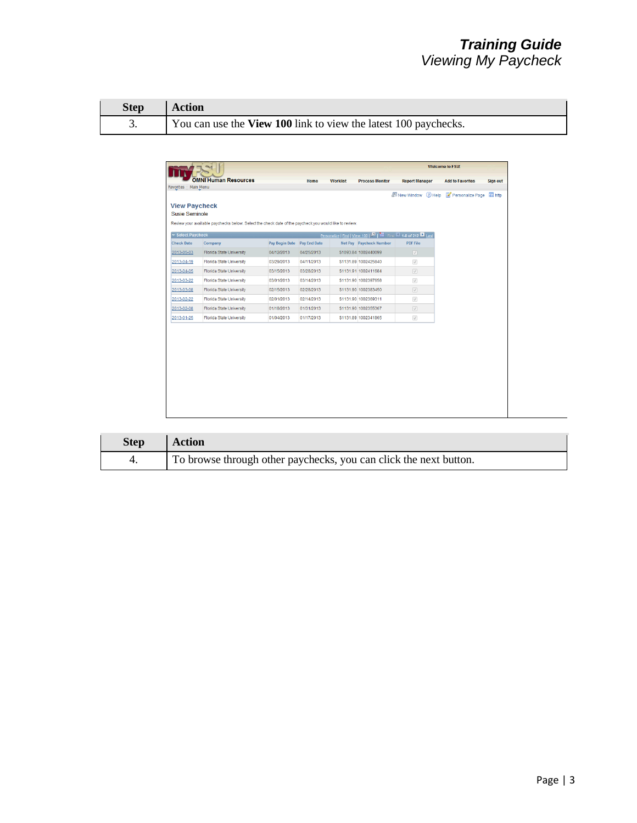| Step Action |                                                                 |
|-------------|-----------------------------------------------------------------|
|             | You can use the View 100 link to view the latest 100 paychecks. |

|                                                                        |                                                                                                        |                |              |                 |                                                                     |                                | <b>Welcome to FSU!</b>  |                 |
|------------------------------------------------------------------------|--------------------------------------------------------------------------------------------------------|----------------|--------------|-----------------|---------------------------------------------------------------------|--------------------------------|-------------------------|-----------------|
|                                                                        | <b>OMNI Human Resources</b>                                                                            |                | Home         | <b>Worklist</b> | <b>Process Monitor</b>                                              | <b>Report Manager</b>          | <b>Add to Favorites</b> | <b>Sign out</b> |
| Favorites   Main Menu<br><b>View Paycheck</b><br><b>Susie Seminole</b> | Review your available paychecks below. Select the check date of the paycheck you would like to review. |                |              |                 |                                                                     | 图 New Window 2 Help            | Personalize Page        | and http        |
| <b>Exercise Paycheck</b>                                               |                                                                                                        |                |              |                 | Personalize   Find   View 100   DI   Hill First   1-8 of 212   Last |                                |                         |                 |
| <b>Check Date</b>                                                      | Company                                                                                                | Pay Begin Date | Pay End Date |                 | Net Pay Paycheck Number                                             | <b>PDF File</b>                |                         |                 |
| 2013-05-03                                                             | <b>Florida State University</b>                                                                        | 04/12/2013     | 04/25/2013   |                 | \$1093.84 1002440099                                                | $\overline{\vee}$              |                         |                 |
| 2013-04-19                                                             | <b>Florida State University</b>                                                                        | 03/29/2013     | 04/11/2013   |                 | \$1131.89 1002425840                                                | $\overrightarrow{\mathcal{A}}$ |                         |                 |
| 2013-04-05                                                             | <b>Florida State University</b>                                                                        | 03/15/2013     | 03/28/2013   |                 | \$1131.91 1002411684                                                | $\boxed{\vee}$                 |                         |                 |
| 2013-03-22                                                             | <b>Florida State University</b>                                                                        | 03/01/2013     | 03/14/2013   |                 | \$1131.90 1002397658                                                | $\overrightarrow{\mathcal{A}}$ |                         |                 |
| 2013-03-08                                                             | <b>Florida State University</b>                                                                        | 02/15/2013     | 02/28/2013   |                 | \$1131.90 1002383450                                                | $\overline{\cup}$              |                         |                 |
| 2013-02-22                                                             | <b>Florida State University</b>                                                                        | 02/01/2013     | 02/14/2013   |                 | \$1131.90 1002369311                                                | $\vec{v}$                      |                         |                 |
| 2013-02-08                                                             | Florida State University                                                                               | 01/18/2013     | 01/31/2013   |                 | \$1131.90 1002355367                                                | $\overline{\vee}$              |                         |                 |
| 2013-01-25                                                             | <b>Florida State University</b>                                                                        | 01/04/2013     | 01/17/2013   |                 | \$1131.89 1002341865                                                | $\cup'$                        |                         |                 |

| <b>Step</b> | <b>Action</b>                                                     |
|-------------|-------------------------------------------------------------------|
|             | To browse through other paychecks, you can click the next button. |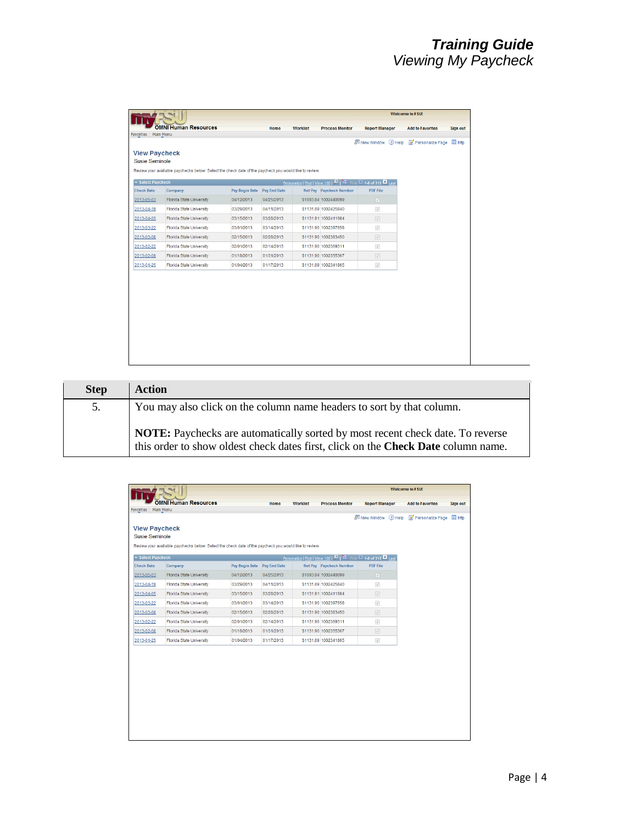|                          |                                                                                                        |                          |                          |                 |                                                                    |                                 | <b>Welcome to FSU!</b>  |                 |
|--------------------------|--------------------------------------------------------------------------------------------------------|--------------------------|--------------------------|-----------------|--------------------------------------------------------------------|---------------------------------|-------------------------|-----------------|
|                          | <b>OMNI Human Resources</b>                                                                            |                          | Home                     | <b>Worklist</b> | <b>Process Monitor</b>                                             | <b>Report Manager</b>           | <b>Add to Favorites</b> | <b>Sign out</b> |
| Favorites   Main Menu    |                                                                                                        |                          |                          |                 |                                                                    |                                 |                         |                 |
|                          |                                                                                                        |                          |                          |                 |                                                                    | 图 New Window 2 Help             | Personalize Page        | and http        |
| <b>Susie Seminole</b>    | <b>View Paycheck</b>                                                                                   |                          |                          |                 |                                                                    |                                 |                         |                 |
|                          | Review your available paychecks below. Select the check date of the paycheck you would like to review. |                          |                          |                 |                                                                    |                                 |                         |                 |
|                          |                                                                                                        |                          |                          |                 |                                                                    |                                 |                         |                 |
| <b>Exercise Paycheck</b> |                                                                                                        |                          |                          |                 | Personalize   Find   View 100   E   Hill First   1-8 of 212   Last |                                 |                         |                 |
| <b>Check Date</b>        | Company                                                                                                | Pay Begin Date           | <b>Pay End Date</b>      |                 | Net Pay Paycheck Number                                            | <b>PDF File</b>                 |                         |                 |
| 2013-05-03               | Florida State University                                                                               | 04/12/2013               | 04/25/2013               |                 | \$1093.84 1002440099                                               | $\boxed{\vee}$                  |                         |                 |
| 2013-04-19               | <b>Florida State University</b>                                                                        | 03/29/2013<br>03/15/2013 | 04/11/2013               |                 | \$1131.89 1002425840<br>\$1131.91 1002411684                       | $\sqrt{ }$                      |                         |                 |
| 2013-04-05<br>2013-03-22 | <b>Florida State University</b>                                                                        |                          | 03/28/2013               |                 | \$1131.90 1002397658                                               | $\overline{\vee}$               |                         |                 |
|                          | <b>Florida State University</b>                                                                        | 03/01/2013               | 03/14/2013               |                 |                                                                    | $\sqrt{ }$                      |                         |                 |
| 2013-03-08               | <b>Florida State University</b><br>Florida State University                                            | 02/15/2013<br>02/01/2013 | 02/28/2013<br>02/14/2013 |                 | \$1131.90 1002383450<br>\$1131.90 1002369311                       | $\overline{\vee}$<br>$\sqrt{ }$ |                         |                 |
| 2013-02-22<br>2013-02-08 | Florida State University                                                                               | 01/18/2013               | 01/31/2013               |                 | \$1131.90 1002355367                                               |                                 |                         |                 |
|                          | Florida State University                                                                               | 01/04/2013               | 01/17/2013               |                 | \$1131.89 1002341865                                               | $\overline{\cup}$               |                         |                 |
| 2013-01-25               |                                                                                                        |                          |                          |                 |                                                                    | $\sqrt{}$                       |                         |                 |

| <b>Step</b> | <b>Action</b>                                                                                                                                                       |
|-------------|---------------------------------------------------------------------------------------------------------------------------------------------------------------------|
| 5.          | You may also click on the column name headers to sort by that column.                                                                                               |
|             | NOTE: Paychecks are automatically sorted by most recent check date. To reverse<br>this order to show oldest check dates first, click on the Check Date column name. |

|                                               |                                                                                                        |                |              |                 |                                                                     |                                | <b>Welcome to FSU!</b>  |                 |
|-----------------------------------------------|--------------------------------------------------------------------------------------------------------|----------------|--------------|-----------------|---------------------------------------------------------------------|--------------------------------|-------------------------|-----------------|
|                                               | <b>OMNI Human Resources</b>                                                                            |                | Home         | <b>Worklist</b> | <b>Process Monitor</b>                                              | <b>Report Manager</b>          | <b>Add to Favorites</b> | <b>Sign out</b> |
| Favorites   Main Menu                         |                                                                                                        |                |              |                 |                                                                     | 图 New Window 2 Help            | Personalize Page        | <b>Red</b> http |
|                                               |                                                                                                        |                |              |                 |                                                                     |                                |                         |                 |
| <b>View Paycheck</b><br><b>Susie Seminole</b> |                                                                                                        |                |              |                 |                                                                     |                                |                         |                 |
|                                               | Review your available paychecks below. Select the check date of the paycheck you would like to review. |                |              |                 |                                                                     |                                |                         |                 |
|                                               |                                                                                                        |                |              |                 |                                                                     |                                |                         |                 |
| <b>Select Paycheck</b>                        |                                                                                                        |                |              |                 | Personalize   Find   View 100   ET   Hill First   1-8 of 212   Last |                                |                         |                 |
| <b>Check Date</b>                             | Company                                                                                                | Pay Begin Date | Pay End Date |                 | Net Pay Paycheck Number                                             | <b>PDF File</b>                |                         |                 |
| 2013-05-03                                    | Florida State University                                                                               | 04/12/2013     | 04/25/2013   |                 | \$1093.84 1002440099                                                | $\boxed{\vee}$                 |                         |                 |
| 2013-04-19                                    | <b>Florida State University</b>                                                                        | 03/29/2013     | 04/11/2013   |                 | \$1131.89 1002425840                                                | $\sqrt{ }$                     |                         |                 |
| 2013-04-05                                    | <b>Florida State University</b>                                                                        | 03/15/2013     | 03/28/2013   |                 | \$1131.91 1002411684                                                | $\overline{\vee}$              |                         |                 |
| 2013-03-22                                    | <b>Florida State University</b>                                                                        | 03/01/2013     | 03/14/2013   |                 | \$1131.90 1002397658                                                | $\overrightarrow{\mathcal{A}}$ |                         |                 |
| 2013-03-08                                    | <b>Florida State University</b>                                                                        | 02/15/2013     | 02/28/2013   |                 | \$1131.90 1002383450                                                | $\overline{\vee}$              |                         |                 |
| 2013-02-22                                    | Florida State University                                                                               | 02/01/2013     | 02/14/2013   |                 | \$1131.90 1002369311                                                | $\sqrt{ }$                     |                         |                 |
| 2013-02-08                                    | Florida State University                                                                               | 01/18/2013     | 01/31/2013   |                 | \$1131.90 1002355367                                                | $\overline{\vee}$              |                         |                 |
| 2013-01-25                                    | <b>Florida State University</b>                                                                        | 01/04/2013     | 01/17/2013   |                 | \$1131.89 1002341865                                                | $\sqrt{ }$                     |                         |                 |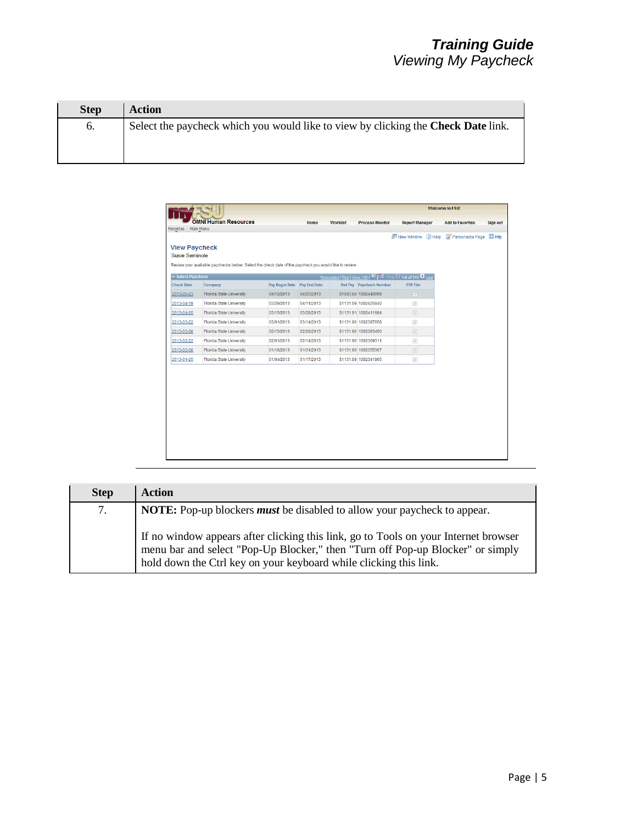| <b>Step</b>      | <b>Action</b>                                                                            |
|------------------|------------------------------------------------------------------------------------------|
| $\mathfrak{b}$ . | Select the paycheck which you would like to view by clicking the <b>Check Date</b> link. |

| New Window 2 Help<br>Personalize Page Thttp<br><b>View Paycheck</b><br>Susie Seminole<br>Review your available paychecks below. Select the check date of the paycheck you would like to review.<br><b>Exercise Paycheck</b><br>Personalize   Find   View 100   ET   Hill First   1-8 of 212   Last<br><b>PDF File</b><br>Company<br>Pay Begin Date Pay End Date<br>Net Pay Paycheck Number<br><b>Florida State University</b><br>\$1093.84 1002440099<br>$\sqrt{2}$<br>04/12/2013<br>04/25/2013<br><b>Florida State University</b><br>03/29/2013<br>04/11/2013<br>\$1131.89 1002425840<br>$\sqrt{ }$<br>Florida State University<br>\$1131.91 1002411684<br>$\boxed{\vee}$<br>03/15/2013<br>03/28/2013<br><b>Florida State University</b><br>03/01/2013<br>03/14/2013<br>\$1131.90 1002397658<br>$\sqrt{ }$<br>$\overline{\vee}$<br><b>Florida State University</b><br>02/15/2013<br>02/28/2013<br>\$1131.90 1002383450<br><b>Florida State University</b><br>02/01/2013<br>02/14/2013<br>\$1131.90 1002369311<br>$\sqrt{ }$<br>\$1131.90 1002355367<br><b>Florida State University</b><br>01/18/2013<br>01/31/2013<br>$\overrightarrow{v}$<br>Florida State University<br>01/04/2013<br>01/17/2013<br>\$1131.89 1002341865<br>$\sqrt{ }$ | Favorites   Main Menu |  |  |  |  |
|-------------------------------------------------------------------------------------------------------------------------------------------------------------------------------------------------------------------------------------------------------------------------------------------------------------------------------------------------------------------------------------------------------------------------------------------------------------------------------------------------------------------------------------------------------------------------------------------------------------------------------------------------------------------------------------------------------------------------------------------------------------------------------------------------------------------------------------------------------------------------------------------------------------------------------------------------------------------------------------------------------------------------------------------------------------------------------------------------------------------------------------------------------------------------------------------------------------------------------------------|-----------------------|--|--|--|--|
|                                                                                                                                                                                                                                                                                                                                                                                                                                                                                                                                                                                                                                                                                                                                                                                                                                                                                                                                                                                                                                                                                                                                                                                                                                           |                       |  |  |  |  |
|                                                                                                                                                                                                                                                                                                                                                                                                                                                                                                                                                                                                                                                                                                                                                                                                                                                                                                                                                                                                                                                                                                                                                                                                                                           |                       |  |  |  |  |
|                                                                                                                                                                                                                                                                                                                                                                                                                                                                                                                                                                                                                                                                                                                                                                                                                                                                                                                                                                                                                                                                                                                                                                                                                                           |                       |  |  |  |  |
|                                                                                                                                                                                                                                                                                                                                                                                                                                                                                                                                                                                                                                                                                                                                                                                                                                                                                                                                                                                                                                                                                                                                                                                                                                           |                       |  |  |  |  |
|                                                                                                                                                                                                                                                                                                                                                                                                                                                                                                                                                                                                                                                                                                                                                                                                                                                                                                                                                                                                                                                                                                                                                                                                                                           |                       |  |  |  |  |
|                                                                                                                                                                                                                                                                                                                                                                                                                                                                                                                                                                                                                                                                                                                                                                                                                                                                                                                                                                                                                                                                                                                                                                                                                                           | <b>Check Date</b>     |  |  |  |  |
|                                                                                                                                                                                                                                                                                                                                                                                                                                                                                                                                                                                                                                                                                                                                                                                                                                                                                                                                                                                                                                                                                                                                                                                                                                           | 2013-05-03            |  |  |  |  |
|                                                                                                                                                                                                                                                                                                                                                                                                                                                                                                                                                                                                                                                                                                                                                                                                                                                                                                                                                                                                                                                                                                                                                                                                                                           | 2013-04-19            |  |  |  |  |
|                                                                                                                                                                                                                                                                                                                                                                                                                                                                                                                                                                                                                                                                                                                                                                                                                                                                                                                                                                                                                                                                                                                                                                                                                                           | 2013-04-05            |  |  |  |  |
|                                                                                                                                                                                                                                                                                                                                                                                                                                                                                                                                                                                                                                                                                                                                                                                                                                                                                                                                                                                                                                                                                                                                                                                                                                           | 2013-03-22            |  |  |  |  |
|                                                                                                                                                                                                                                                                                                                                                                                                                                                                                                                                                                                                                                                                                                                                                                                                                                                                                                                                                                                                                                                                                                                                                                                                                                           | 2013-03-08            |  |  |  |  |
|                                                                                                                                                                                                                                                                                                                                                                                                                                                                                                                                                                                                                                                                                                                                                                                                                                                                                                                                                                                                                                                                                                                                                                                                                                           | 2013-02-22            |  |  |  |  |
|                                                                                                                                                                                                                                                                                                                                                                                                                                                                                                                                                                                                                                                                                                                                                                                                                                                                                                                                                                                                                                                                                                                                                                                                                                           | 2013-02-08            |  |  |  |  |
|                                                                                                                                                                                                                                                                                                                                                                                                                                                                                                                                                                                                                                                                                                                                                                                                                                                                                                                                                                                                                                                                                                                                                                                                                                           | 2013-01-25            |  |  |  |  |
|                                                                                                                                                                                                                                                                                                                                                                                                                                                                                                                                                                                                                                                                                                                                                                                                                                                                                                                                                                                                                                                                                                                                                                                                                                           |                       |  |  |  |  |
|                                                                                                                                                                                                                                                                                                                                                                                                                                                                                                                                                                                                                                                                                                                                                                                                                                                                                                                                                                                                                                                                                                                                                                                                                                           |                       |  |  |  |  |
|                                                                                                                                                                                                                                                                                                                                                                                                                                                                                                                                                                                                                                                                                                                                                                                                                                                                                                                                                                                                                                                                                                                                                                                                                                           |                       |  |  |  |  |
|                                                                                                                                                                                                                                                                                                                                                                                                                                                                                                                                                                                                                                                                                                                                                                                                                                                                                                                                                                                                                                                                                                                                                                                                                                           |                       |  |  |  |  |
|                                                                                                                                                                                                                                                                                                                                                                                                                                                                                                                                                                                                                                                                                                                                                                                                                                                                                                                                                                                                                                                                                                                                                                                                                                           |                       |  |  |  |  |
|                                                                                                                                                                                                                                                                                                                                                                                                                                                                                                                                                                                                                                                                                                                                                                                                                                                                                                                                                                                                                                                                                                                                                                                                                                           |                       |  |  |  |  |
|                                                                                                                                                                                                                                                                                                                                                                                                                                                                                                                                                                                                                                                                                                                                                                                                                                                                                                                                                                                                                                                                                                                                                                                                                                           |                       |  |  |  |  |

| <b>Step</b> | <b>Action</b>                                                                                                                                                                                                                              |
|-------------|--------------------------------------------------------------------------------------------------------------------------------------------------------------------------------------------------------------------------------------------|
| 7.          | <b>NOTE:</b> Pop-up blockers <i>must</i> be disabled to allow your paycheck to appear.                                                                                                                                                     |
|             | If no window appears after clicking this link, go to Tools on your Internet browser<br>menu bar and select "Pop-Up Blocker," then "Turn off Pop-up Blocker" or simply<br>hold down the Ctrl key on your keyboard while clicking this link. |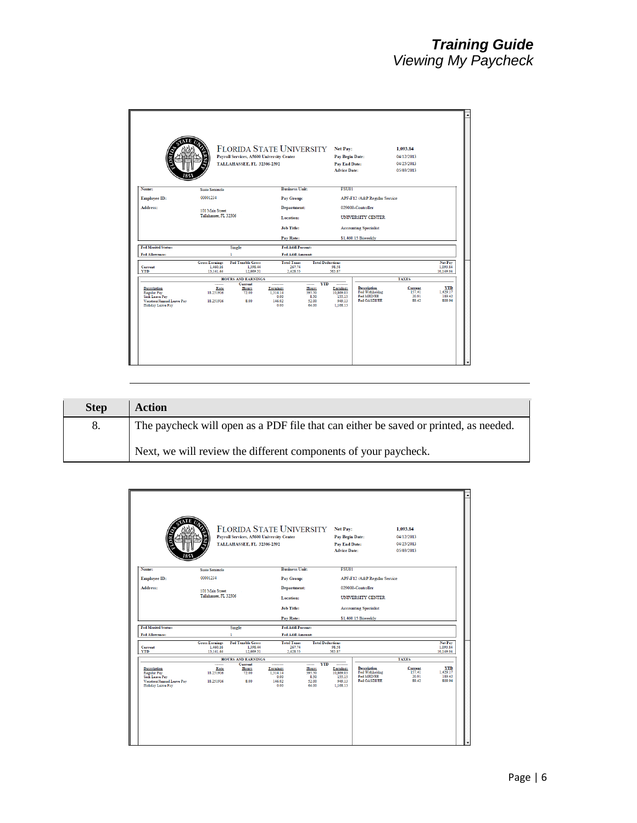|                                                                                                                            |                                                | Payroll Services, A5600 University Center<br><b>TALLAHASSEE, FL 32306-2392</b> | <b>FLORIDA STATE UNIVERSITY</b>                |                                                             | Net Pay:<br>Pay Begin Date:<br><b>Pay End Date:</b><br><b>Advice Date:</b> |                                                                    | 1,093.84<br>04/12/2013<br>04/25/2013<br>05/03/2013 |                                            |
|----------------------------------------------------------------------------------------------------------------------------|------------------------------------------------|--------------------------------------------------------------------------------|------------------------------------------------|-------------------------------------------------------------|----------------------------------------------------------------------------|--------------------------------------------------------------------|----------------------------------------------------|--------------------------------------------|
| Name:                                                                                                                      | <b>Susie Seminole</b>                          |                                                                                | <b>Business Unit:</b>                          |                                                             | <b>FSU01</b>                                                               |                                                                    |                                                    |                                            |
| Employee ID:                                                                                                               | 00001234                                       |                                                                                | Pay Group:                                     |                                                             |                                                                            | APF-F12 /A&P Regular Service                                       |                                                    |                                            |
| Address:                                                                                                                   | 101 Main Street                                |                                                                                | <b>Department:</b>                             |                                                             |                                                                            | 029000-Controller                                                  |                                                    |                                            |
|                                                                                                                            | Tallahassee. FL 32306                          |                                                                                | Location:                                      |                                                             |                                                                            | <b>UNIVERSITY CENTER</b>                                           |                                                    |                                            |
|                                                                                                                            |                                                |                                                                                | <b>Job Title:</b>                              |                                                             |                                                                            | <b>Accounting Specialist</b>                                       |                                                    |                                            |
|                                                                                                                            |                                                |                                                                                | Pay Rate:                                      |                                                             |                                                                            | \$1,460.15 Biweekly                                                |                                                    |                                            |
| <b>Fed Marital Status:</b>                                                                                                 |                                                | Single                                                                         | Fed Addl Percent:                              |                                                             |                                                                            |                                                                    |                                                    |                                            |
| Fed Allowance:                                                                                                             |                                                | ı                                                                              | Fed Addl Amount:                               |                                                             |                                                                            |                                                                    |                                                    |                                            |
| Current<br><b>YTD</b>                                                                                                      | <b>Gross Earnings</b><br>1.460.16<br>13.141.44 | <b>Fed Taxable Gross</b><br>1.398.44<br>12.669.31                              | <b>Total Taxes</b><br>267.74<br>2.428.53       |                                                             | <b>Total Deductions</b><br>98.58<br>563.87                                 |                                                                    |                                                    | Net Pay<br>1,093.84<br>10,149.04           |
|                                                                                                                            |                                                | <b>HOURS AND EARNINGS</b>                                                      |                                                |                                                             |                                                                            |                                                                    | <b>TAXES</b>                                       |                                            |
| <b>Description</b><br><b>Regular Pay</b><br><b>Sick Leave Pay</b><br>Vacation/Annual Leave Pav<br><b>Holiday Leave Pay</b> | -------<br>Rate<br>18.251916<br>18.251916      | Current<br>Hours<br>72.00<br>8.00                                              | Earnings<br>1.314.14<br>0.00<br>146.02<br>0.00 | <b>YTD</b><br><br>Hours<br>595.50<br>8.50<br>52.00<br>64.00 | Earnings<br>10.869.03<br>155.15<br>949.13<br>1.168.13                      | <b>Description</b><br>Fed Withholdng<br>Fed MED/EE<br>Fed OASDI/EE | Current<br>157.41<br>20.91<br>89.42                | <b>YTD</b><br>1,429.17<br>189.42<br>809.94 |

| <b>Step</b> | Action                                                                               |
|-------------|--------------------------------------------------------------------------------------|
| 8.          | The paycheck will open as a PDF file that can either be saved or printed, as needed. |
|             | Next, we will review the different components of your paycheck.                      |

|                                                                                                              |                                                | FLORIDA STATE UNIVERSITY Net Pay:<br>Payroll Services, A5600 University Center<br>TALLAHASSEE, FL 32306-2392 |                                                             |                                                             | Pay Begin Date:<br><b>Pay End Date:</b><br><b>Advice Date:</b> |                                                                                 | 1,093.84<br>04/12/2013<br>04/25/2013<br>05/03/2013 |                                            |
|--------------------------------------------------------------------------------------------------------------|------------------------------------------------|--------------------------------------------------------------------------------------------------------------|-------------------------------------------------------------|-------------------------------------------------------------|----------------------------------------------------------------|---------------------------------------------------------------------------------|----------------------------------------------------|--------------------------------------------|
| Name:                                                                                                        | Susie Seminole                                 |                                                                                                              | <b>Business Unit:</b>                                       |                                                             | <b>FSU01</b>                                                   |                                                                                 |                                                    |                                            |
| Employee ID:                                                                                                 | 00001234                                       |                                                                                                              | Pay Group:                                                  |                                                             |                                                                | APF-F12 /A&P Regular Service                                                    |                                                    |                                            |
| Address:                                                                                                     | 101 Main Street<br>Tallahassee, FL 32306       |                                                                                                              | <b>Department:</b>                                          |                                                             |                                                                | 029000-Controller                                                               |                                                    |                                            |
|                                                                                                              |                                                |                                                                                                              | Location:<br><b>Job Title:</b><br>Pay Rate:                 |                                                             |                                                                | <b>UNIVERSITY CENTER</b><br><b>Accounting Specialist</b><br>\$1,460.15 Biweekly |                                                    |                                            |
| <b>Fed Marital Status:</b>                                                                                   |                                                | Single                                                                                                       | Fed Addl Percent:                                           |                                                             |                                                                |                                                                                 |                                                    |                                            |
| <b>Fed Allowance:</b>                                                                                        |                                                | ۱                                                                                                            | Fed Addl Amount:                                            |                                                             |                                                                |                                                                                 |                                                    |                                            |
| Current<br><b>YTD</b>                                                                                        | <b>Gross Earnings</b><br>1.460.16<br>13.141.44 | Fed Taxable Gross<br>1.398.44<br>12,669.31                                                                   | <b>Total Taxes</b><br>267.74<br>2.428.53                    |                                                             | <b>Total Deductions</b><br>98.58<br>563.87                     |                                                                                 |                                                    | Net Pay<br>1.093.84<br>10,149.04           |
|                                                                                                              |                                                | <b>HOURS AND EARNINGS</b>                                                                                    |                                                             |                                                             |                                                                |                                                                                 | <b>TAXES</b>                                       |                                            |
| <b>Description</b><br>Regular Pay<br><b>Sick Leave Pay</b><br>Vacation/Annual Leave Pav<br>Holiday Leave Pay | <br>Rate<br>18.251916<br>18.251916             | Current<br>Hours<br>72.00<br>\$.00                                                                           | ---------<br>Earnings<br>1.314.14<br>0.00<br>146.02<br>0.00 | <b>YTD</b><br><br>Hours<br>595.50<br>8.50<br>52.00<br>64.00 | <br>Earnings<br>10.869.03<br>155.15<br>949.13<br>1.168.13      | <b>Description</b><br>Fed Withholdng<br>Fed MED/EE<br><b>Fed OASDI/EE</b>       | Current<br>157.41<br>20.91<br>89.42                | <b>YTD</b><br>1,429.17<br>189.42<br>809.94 |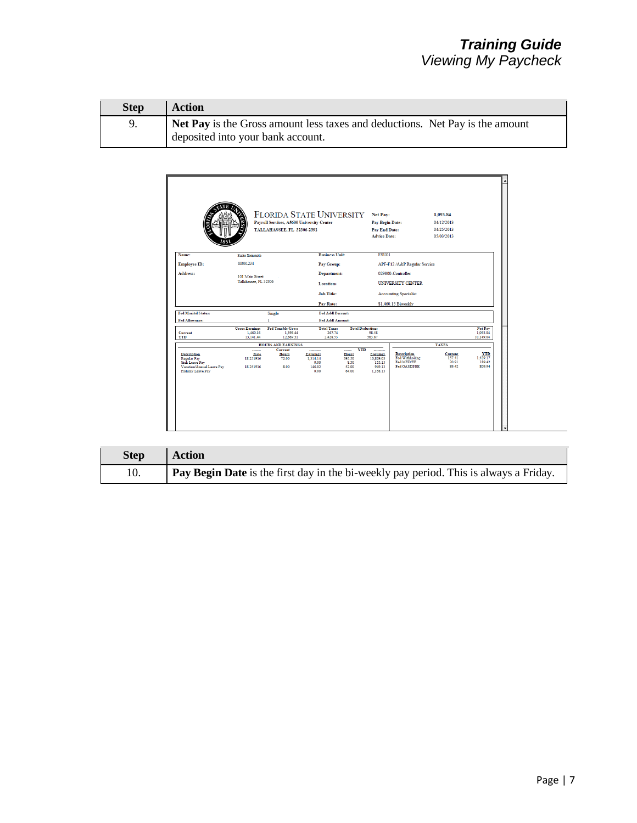| <b>Step</b> | Action                                                                       |
|-------------|------------------------------------------------------------------------------|
| -9.         | Net Pay is the Gross amount less taxes and deductions. Net Pay is the amount |
|             | deposited into your bank account.                                            |



| <b>Step</b> | <b>Action</b>                                                                         |
|-------------|---------------------------------------------------------------------------------------|
| 10.         | Pay Begin Date is the first day in the bi-weekly pay period. This is always a Friday. |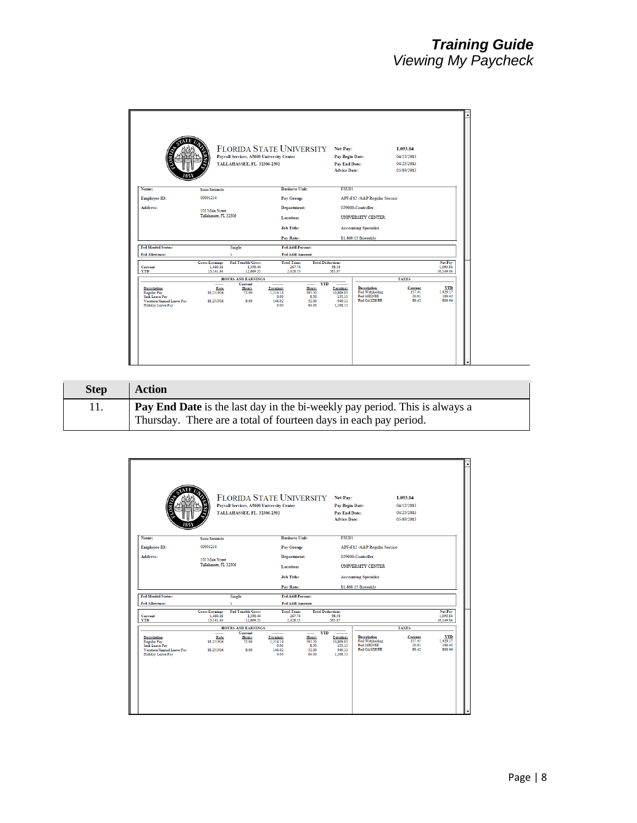|                                                                                                              |                                                | <b>FLORIDA STATE UNIVERSITY</b><br>Payroll Services, A5600 University Center<br>TALLAHASSEE, FL 32306-2392 |                                                            |                                                                   | Net Pay:<br>Pay Begin Date:<br><b>Pay End Date:</b><br><b>Advice Date:</b> |                                                             | 1,093.84<br>04/12/2013<br>04/25/2013<br>05/03/2013 |                                            |
|--------------------------------------------------------------------------------------------------------------|------------------------------------------------|------------------------------------------------------------------------------------------------------------|------------------------------------------------------------|-------------------------------------------------------------------|----------------------------------------------------------------------------|-------------------------------------------------------------|----------------------------------------------------|--------------------------------------------|
| Name:                                                                                                        | <b>Susie Seminole</b>                          |                                                                                                            | <b>Business Unit:</b>                                      |                                                                   | <b>FSU01</b>                                                               |                                                             |                                                    |                                            |
| Employee ID:                                                                                                 | 00001234                                       |                                                                                                            | Pay Group:                                                 |                                                                   |                                                                            | APF-F12 /A&P Regular Service                                |                                                    |                                            |
| Address:                                                                                                     | 101 Main Street                                |                                                                                                            | <b>Department:</b>                                         |                                                                   |                                                                            | 029000-Controller                                           |                                                    |                                            |
|                                                                                                              | Tallahassee, FL 32306                          |                                                                                                            | Location:                                                  |                                                                   |                                                                            | UNIVERSITY CENTER                                           |                                                    |                                            |
|                                                                                                              |                                                |                                                                                                            | <b>Job Title:</b>                                          |                                                                   |                                                                            | <b>Accounting Specialist</b>                                |                                                    |                                            |
|                                                                                                              |                                                |                                                                                                            | Pay Rate:                                                  |                                                                   |                                                                            | \$1,460.15 Biweekly                                         |                                                    |                                            |
| <b>Fed Marital Status:</b>                                                                                   |                                                | Single                                                                                                     | Fed Addl Percent:                                          |                                                                   |                                                                            |                                                             |                                                    |                                            |
| Fed Allowance:                                                                                               |                                                |                                                                                                            | Fed Addl Amount:                                           |                                                                   |                                                                            |                                                             |                                                    |                                            |
| Current<br><b>YTD</b>                                                                                        | <b>Gross Earnings</b><br>1,460.16<br>13.141.44 | <b>Fed Taxable Gross</b><br>1.398.44<br>12.669.31                                                          | <b>Total Taxes</b><br>267.74<br>2.428.53                   |                                                                   | <b>Total Deductions</b><br>98.58<br>563.87                                 |                                                             |                                                    | Net Pay<br>1,093.84<br>10,149.04           |
|                                                                                                              |                                                | <b>HOURS AND EARNINGS</b>                                                                                  |                                                            |                                                                   |                                                                            |                                                             | <b>TAXES</b>                                       |                                            |
| Description<br><b>Regular Pay</b><br><b>Sick Leave Pay</b><br>Vacation/Annual Leave Pav<br>Holiday Leave Pay | <br>Rate<br>18.251916<br>18.251916             | Current<br>Hours<br>72.00<br>\$.00                                                                         | --------<br>Earnings<br>1.314.14<br>0.00<br>146.02<br>0.00 | <b>YTD</b><br>------<br>Hours<br>595.50<br>8.50<br>52.00<br>64.00 | --------<br>Earnings<br>10.869.03<br>155.15<br>949.13<br>1.168.13          | Description<br>Fed Withholdng<br>Fed MED/EE<br>Fed OASDI/EE | Current<br>157.41<br>20.91<br>89.42                | <b>YTD</b><br>1.429.17<br>189.42<br>809.94 |

| <b>Step</b> | Action                                                                     |
|-------------|----------------------------------------------------------------------------|
|             | Pay End Date is the last day in the bi-weekly pay period. This is always a |
|             | Thursday. There are a total of fourteen days in each pay period.           |

|                                                                                                                            |                                                | <b>FLORIDA STATE UNIVERSITY</b><br>Payroll Services, A5600 University Center<br>TALLAHASSEE, FL 32306-2392 |                                                    |                                                    | Net Pay:<br>Pay Begin Date:<br><b>Pay End Date:</b><br><b>Advice Date:</b>       |                                                             | 1,093.84<br>04/12/2013<br>04/25/2013<br>05/03/2013 |                                            |
|----------------------------------------------------------------------------------------------------------------------------|------------------------------------------------|------------------------------------------------------------------------------------------------------------|----------------------------------------------------|----------------------------------------------------|----------------------------------------------------------------------------------|-------------------------------------------------------------|----------------------------------------------------|--------------------------------------------|
| Name:                                                                                                                      | Susie Seminole                                 |                                                                                                            | <b>Business Unit:</b>                              |                                                    | <b>FSU01</b>                                                                     |                                                             |                                                    |                                            |
| Employee ID:                                                                                                               | 00001234                                       |                                                                                                            | Pay Group:                                         |                                                    |                                                                                  | APF-F12 /A&P Regular Service                                |                                                    |                                            |
| Address:                                                                                                                   |                                                |                                                                                                            | <b>Department:</b>                                 |                                                    |                                                                                  | 029000-Controller                                           |                                                    |                                            |
|                                                                                                                            | 101 Main Street<br>Tallahassee, FL 32306       |                                                                                                            | Location:                                          |                                                    | <b>UNIVERSITY CENTER</b>                                                         |                                                             |                                                    |                                            |
|                                                                                                                            |                                                |                                                                                                            | <b>Job Title:</b>                                  |                                                    | <b>Accounting Specialist</b>                                                     |                                                             |                                                    |                                            |
|                                                                                                                            |                                                |                                                                                                            | Pay Rate:                                          |                                                    |                                                                                  | \$1,460.15 Biweekly                                         |                                                    |                                            |
| <b>Fed Marital Status:</b>                                                                                                 |                                                | Single                                                                                                     | Fed Addl Percent:                                  |                                                    |                                                                                  |                                                             |                                                    |                                            |
| Fed Allowance:                                                                                                             |                                                | ı.                                                                                                         | Fed Addl Amount:                                   |                                                    |                                                                                  |                                                             |                                                    |                                            |
| Current<br><b>YTD</b>                                                                                                      | <b>Gross Earnings</b><br>1.460.16<br>13,141.44 | <b>Fed Taxable Gross</b><br>1.398.44<br>12,669.31                                                          | <b>Total Taxes</b><br>267.74<br>2,428.53           |                                                    | <b>Total Deductions</b><br>98.58<br>563.87                                       |                                                             |                                                    | Net Pay<br>1,093.84<br>10,149.04           |
|                                                                                                                            |                                                | <b>HOURS AND EARNINGS</b>                                                                                  |                                                    |                                                    |                                                                                  |                                                             | <b>TAXES</b>                                       |                                            |
| <b>Description</b><br><b>Regular Pay</b><br><b>Sick Leave Pay</b><br>Vacation/Annual Leave Pav<br><b>Holiday Leave Pay</b> | <br>Rate<br>18.251916<br>18.251916             | Current<br>Hours<br>72.00<br>\$.00                                                                         | <br>Earnings<br>1.314.14<br>0.00<br>146.02<br>0.00 | -----<br>Hours<br>595.50<br>8.50<br>52.00<br>64.00 | <b>YTD</b><br>---------<br>Earnings<br>10.869.03<br>155.15<br>949.13<br>1.168.13 | Description<br>Fed Withholdng<br>Fed MED/EE<br>Fed OASDI/EE | Current<br>157.41<br>20.91<br>89.42                | <b>YTD</b><br>1,429.17<br>189.42<br>809.94 |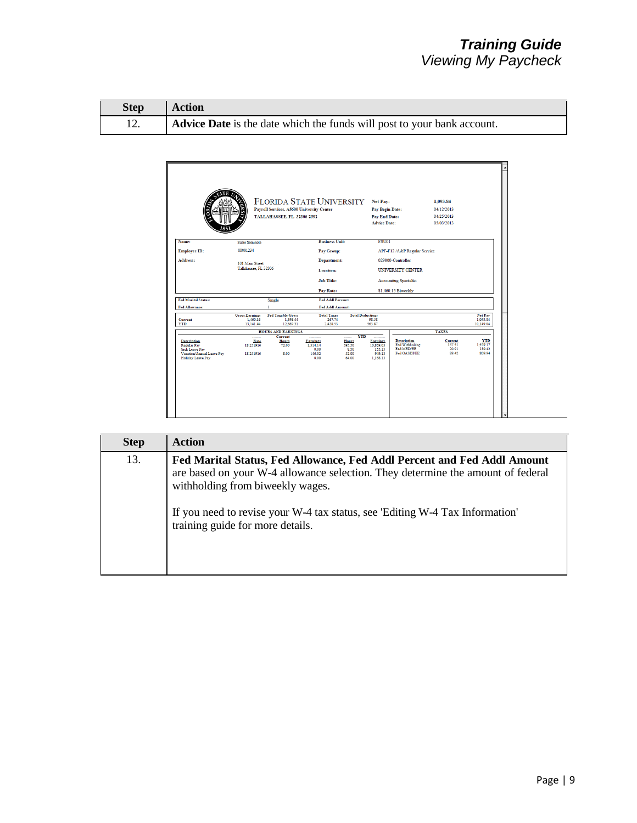| Step   Action |                                                                         |
|---------------|-------------------------------------------------------------------------|
|               | Advice Date is the date which the funds will post to your bank account. |

|                                                                                                                     |                                                | <b>FLORIDA STATE UNIVERSITY</b><br>Payroll Services, A5600 University Center<br>TALLAHASSEE, FL 32306-2392 |                                                |                                                                   | Net Pay:<br>Pay Begin Date:<br><b>Pay End Date:</b><br><b>Advice Date:</b> |                                                                    | 1,093.84<br>04/12/2013<br>04/25/2013<br>05/03/2013 |                                            |
|---------------------------------------------------------------------------------------------------------------------|------------------------------------------------|------------------------------------------------------------------------------------------------------------|------------------------------------------------|-------------------------------------------------------------------|----------------------------------------------------------------------------|--------------------------------------------------------------------|----------------------------------------------------|--------------------------------------------|
| Name:                                                                                                               | <b>Susie Seminole</b>                          |                                                                                                            | <b>Business Unit:</b>                          |                                                                   | <b>FSU01</b>                                                               |                                                                    |                                                    |                                            |
| Employee ID:                                                                                                        | 00001234                                       |                                                                                                            | Pay Group:                                     |                                                                   |                                                                            | APF-F12 /A&P Regular Service                                       |                                                    |                                            |
| Address:                                                                                                            | 101 Main Street<br>Tallahassee, FL 32306       |                                                                                                            | <b>Department:</b><br>Location:                |                                                                   |                                                                            | 029000-Controller<br><b>UNIVERSITY CENTER</b>                      |                                                    |                                            |
|                                                                                                                     |                                                |                                                                                                            | <b>Job Title:</b><br>Pay Rate:                 |                                                                   |                                                                            | <b>Accounting Specialist</b><br>\$1,460.15 Biweekly                |                                                    |                                            |
| <b>Fed Marital Status:</b>                                                                                          |                                                | Single                                                                                                     | Fed Addl Percent:                              |                                                                   |                                                                            |                                                                    |                                                    |                                            |
| Fed Allowance:                                                                                                      |                                                | ٦                                                                                                          | Fed Addl Amount:                               |                                                                   |                                                                            |                                                                    |                                                    |                                            |
| Current<br><b>YTD</b>                                                                                               | <b>Gross Earnings</b><br>1.460.16<br>13,141.44 | <b>Fed Taxable Gross</b><br>1.398.44<br>12,669.31                                                          | <b>Total Taxes</b><br>267.74<br>2,428.53       |                                                                   | <b>Total Deductions</b><br>98.58<br>563.87                                 |                                                                    |                                                    | Net Pay<br>1.093.84<br>10,149.04           |
|                                                                                                                     |                                                | <b>HOURS AND EARNINGS</b>                                                                                  |                                                |                                                                   |                                                                            |                                                                    | <b>TAXES</b>                                       |                                            |
| <b>Description</b><br>Regular Pay<br><b>Sick Leave Pay</b><br>Vacation/Annual Leave Pav<br><b>Holiday Leave Pay</b> | <br>Rate<br>18.251916<br>18.251916             | Current<br>Hours<br>72.00<br>\$.00                                                                         | Earnings<br>1.314.14<br>0.00<br>146.02<br>0.00 | <b>YTD</b><br>------<br>Hours<br>595.50<br>8.50<br>52.00<br>64.00 | Earnings<br>10.869.03<br>155.15<br>949.13<br>1.168.13                      | Description<br>Fed Withholdng<br>Fed MED/EE<br><b>Fed OASDI/EE</b> | Current<br>157.41<br>20.91<br>89.42                | <b>YTD</b><br>1,429.17<br>189.42<br>809.94 |

| <b>Step</b> | <b>Action</b>                                                                                                                                                                                  |
|-------------|------------------------------------------------------------------------------------------------------------------------------------------------------------------------------------------------|
| 13.         | Fed Marital Status, Fed Allowance, Fed Addl Percent and Fed Addl Amount<br>are based on your W-4 allowance selection. They determine the amount of federal<br>withholding from biweekly wages. |
|             | If you need to revise your W-4 tax status, see 'Editing W-4 Tax Information'<br>training guide for more details.                                                                               |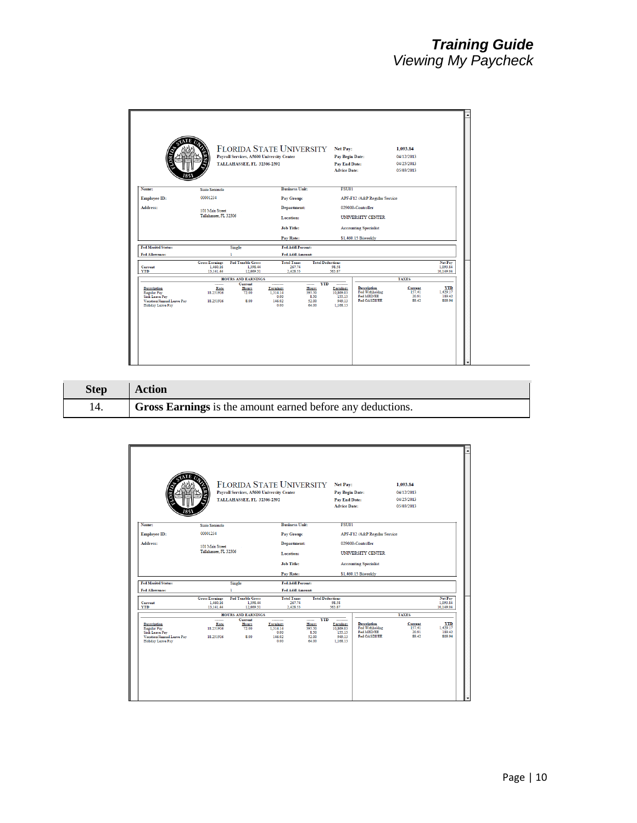|                                                                                                                     |                                                | Payroll Services, A5600 University Center<br>TALLAHASSEE, FL 32306-2392 | <b>FLORIDA STATE UNIVERSITY</b>                             |                                                                   | Net Pay:<br>Pay Begin Date:<br><b>Pay End Date:</b><br><b>Advice Date:</b> |                                                             | 1.093.84<br>04/12/2013<br>04/25/2013<br>05/03/2013 |                                            |
|---------------------------------------------------------------------------------------------------------------------|------------------------------------------------|-------------------------------------------------------------------------|-------------------------------------------------------------|-------------------------------------------------------------------|----------------------------------------------------------------------------|-------------------------------------------------------------|----------------------------------------------------|--------------------------------------------|
| Name:                                                                                                               | <b>Susie Seminole</b>                          |                                                                         | <b>Business Unit:</b>                                       |                                                                   | <b>FSU01</b>                                                               |                                                             |                                                    |                                            |
| Employee ID:                                                                                                        | 00001234                                       |                                                                         | Pay Group:                                                  |                                                                   |                                                                            | APF-F12 /A&P Regular Service                                |                                                    |                                            |
| Address:                                                                                                            | 101 Main Street                                |                                                                         | <b>Department:</b>                                          |                                                                   |                                                                            | 029000-Controller                                           |                                                    |                                            |
|                                                                                                                     | Tallahassee, FL 32306                          |                                                                         | Location:                                                   |                                                                   |                                                                            | UNIVERSITY CENTER                                           |                                                    |                                            |
|                                                                                                                     |                                                |                                                                         | <b>Job Title:</b>                                           |                                                                   |                                                                            | <b>Accounting Specialist</b>                                |                                                    |                                            |
|                                                                                                                     |                                                |                                                                         | Pay Rate:                                                   |                                                                   |                                                                            | \$1,460.15 Biweekly                                         |                                                    |                                            |
| <b>Fed Marital Status:</b>                                                                                          |                                                | Single                                                                  | Fed Addl Percent:                                           |                                                                   |                                                                            |                                                             |                                                    |                                            |
| Fed Allowance:                                                                                                      |                                                | ı                                                                       | Fed Addl Amount:                                            |                                                                   |                                                                            |                                                             |                                                    |                                            |
| Current<br><b>YTD</b>                                                                                               | <b>Gross Earnings</b><br>1.460.16<br>13,141.44 | <b>Fed Taxable Gross</b><br>1.398.44<br>12,669.31                       | <b>Total Taxes</b><br>267.74<br>2,428.53                    |                                                                   | <b>Total Deductions</b><br>98.58<br>563.87                                 |                                                             |                                                    | Net Pay<br>1,093.84<br>10,149.04           |
|                                                                                                                     |                                                | <b>HOURS AND EARNINGS</b>                                               |                                                             |                                                                   |                                                                            |                                                             | <b>TAXES</b>                                       |                                            |
| <b>Description</b><br><b>Regular Pay</b><br><b>Sick Leave Pay</b><br>Vacation/Annual Leave Pav<br>Holiday Leave Pay | <br>Rate<br>18.251916<br>18.251916             | Current<br>Hours<br>72.00<br>8.00                                       | ---------<br>Earnings<br>1.314.14<br>0.00<br>146.02<br>0.00 | <b>YTD</b><br>------<br>Hours<br>595.50<br>8.50<br>52.00<br>64.00 | Earnings<br>10.869.03<br>155.15<br>949.13<br>1.168.13                      | Description<br>Fed Withholdng<br>Fed MED/EE<br>Fed OASDI/EE | Current<br>157.41<br>20.91<br>89.42                | <b>YTD</b><br>1,429.17<br>189.42<br>809.94 |

| <b>Step</b> | <b>Action</b>                                                     |
|-------------|-------------------------------------------------------------------|
|             | <b>Gross Earnings</b> is the amount earned before any deductions. |

|                                                                                                              |                                                | Payroll Services, A5600 University Center<br>TALLAHASSEE, FL 32306-2392 | FLORIDA STATE UNIVERSITY Net Pay:                  |                                                     | Pay Begin Date:<br><b>Pay End Date:</b><br><b>Advice Date:</b> |                                                                    | 1.093.84<br>04/12/2013<br>04/25/2013<br>05/03/2013 |                                            |
|--------------------------------------------------------------------------------------------------------------|------------------------------------------------|-------------------------------------------------------------------------|----------------------------------------------------|-----------------------------------------------------|----------------------------------------------------------------|--------------------------------------------------------------------|----------------------------------------------------|--------------------------------------------|
| Name:                                                                                                        | <b>Susie Seminole</b>                          |                                                                         | <b>Business Unit:</b>                              |                                                     | <b>FSU01</b>                                                   |                                                                    |                                                    |                                            |
| Employee ID:                                                                                                 | 00001234                                       |                                                                         | Pay Group:                                         |                                                     |                                                                | APF-F12 /A&P Regular Service                                       |                                                    |                                            |
| Address:                                                                                                     |                                                |                                                                         | <b>Department:</b>                                 |                                                     |                                                                | 029000-Controller                                                  |                                                    |                                            |
|                                                                                                              | 101 Main Street<br>Tallahassee, FL 32306       |                                                                         | Location:                                          |                                                     |                                                                | <b>UNIVERSITY CENTER</b>                                           |                                                    |                                            |
|                                                                                                              |                                                |                                                                         | <b>Job Title:</b>                                  |                                                     |                                                                | <b>Accounting Specialist</b>                                       |                                                    |                                            |
|                                                                                                              |                                                |                                                                         | Pay Rate:                                          |                                                     |                                                                | \$1,460.15 Biweekly                                                |                                                    |                                            |
| <b>Fed Marital Status:</b>                                                                                   |                                                | Single                                                                  | Fed Addl Percent:                                  |                                                     |                                                                |                                                                    |                                                    |                                            |
| Fed Allowance:                                                                                               |                                                |                                                                         | Fed Addl Amount:                                   |                                                     |                                                                |                                                                    |                                                    |                                            |
| Current<br><b>YTD</b>                                                                                        | <b>Gross Earnings</b><br>1.460.16<br>13,141.44 | <b>Fed Taxable Gross</b><br>1.398.44<br>12,669.31                       | <b>Total Taxes</b><br>267.74<br>2,428.53           |                                                     | <b>Total Deductions</b><br>98.58<br>563.87                     |                                                                    |                                                    | Net Pay<br>1,093.84<br>10,149.04           |
|                                                                                                              |                                                | <b>HOURS AND EARNINGS</b><br>Current                                    |                                                    |                                                     | <b>YTD</b>                                                     |                                                                    | <b>TAXES</b>                                       |                                            |
| <b>Description</b><br>Regular Pay<br>Sick Leave Pay<br>Vacation/Annual Leave Pav<br><b>Holiday Leave Pay</b> | <br>Rate<br>18 25 1916<br>18.251916            | Hours<br>72.00<br>\$.00                                                 | <br>Earnings<br>1.314.14<br>0.00<br>146.02<br>0.00 | ------<br>Hours<br>595.50<br>8.50<br>52.00<br>64.00 | Earnings<br>10 869 03<br>155.15<br>949.13<br>1.168.13          | <b>Description</b><br>Fed Withholdng<br>Fed MED/EE<br>Fed OASDI/EE | Current<br>157.41<br>20.91<br>89.42                | <b>YTD</b><br>1,429.17<br>189.42<br>809.94 |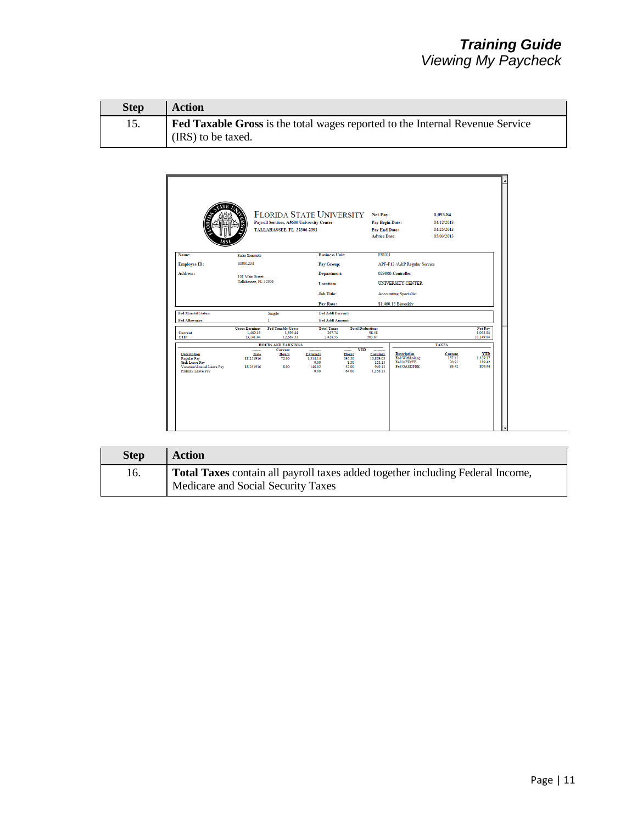| <b>Step</b> | Action                                                                                                     |
|-------------|------------------------------------------------------------------------------------------------------------|
| 15.         | <b>Fed Taxable Gross</b> is the total wages reported to the Internal Revenue Service<br>(IRS) to be taxed. |



| <b>Step</b> | <b>Action</b>                                                                                                        |
|-------------|----------------------------------------------------------------------------------------------------------------------|
| 16.         | Total Taxes contain all payroll taxes added together including Federal Income,<br>Medicare and Social Security Taxes |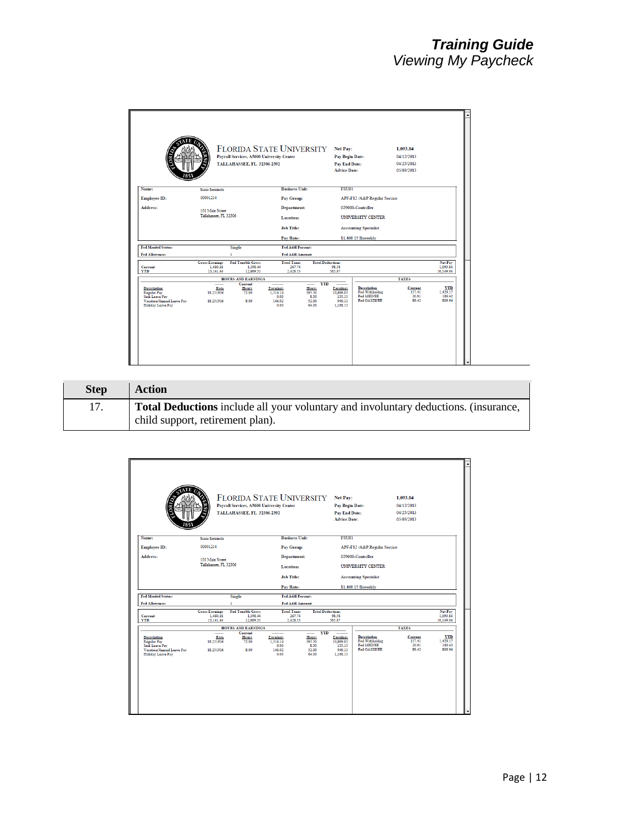|                                                                                                                            |                                                | <b>FLORIDA STATE UNIVERSITY</b><br>Payroll Services, A5600 University Center<br>TALLAHASSEE, FL 32306-2392 |                                                |                                                     | Net Pay:<br>Pay Begin Date:<br>Pay End Date:<br><b>Advice Date:</b> |                                                             | 1,093.84<br>04/12/2013<br>04/25/2013<br>05/03/2013 |                                            |
|----------------------------------------------------------------------------------------------------------------------------|------------------------------------------------|------------------------------------------------------------------------------------------------------------|------------------------------------------------|-----------------------------------------------------|---------------------------------------------------------------------|-------------------------------------------------------------|----------------------------------------------------|--------------------------------------------|
| Name:                                                                                                                      | <b>Susie Seminole</b>                          |                                                                                                            | <b>Business Unit:</b>                          |                                                     | <b>FSU01</b>                                                        |                                                             |                                                    |                                            |
| <b>Employee ID:</b>                                                                                                        | 00001234                                       |                                                                                                            | Pay Group:                                     |                                                     |                                                                     | APF-F12 /A&P Regular Service                                |                                                    |                                            |
| Address:                                                                                                                   | 101 Main Street                                |                                                                                                            | <b>Department:</b>                             |                                                     |                                                                     | 029000-Controller                                           |                                                    |                                            |
|                                                                                                                            | Tallahassee, FL 32306                          |                                                                                                            | Location:                                      |                                                     |                                                                     | UNIVERSITY CENTER                                           |                                                    |                                            |
|                                                                                                                            |                                                |                                                                                                            | <b>Job Title:</b>                              |                                                     |                                                                     | <b>Accounting Specialist</b>                                |                                                    |                                            |
|                                                                                                                            |                                                |                                                                                                            | Pay Rate:                                      |                                                     |                                                                     | \$1,460.15 Biweekly                                         |                                                    |                                            |
| <b>Fed Marital Status:</b>                                                                                                 |                                                | <b>Single</b>                                                                                              | Fed Addl Percent:                              |                                                     |                                                                     |                                                             |                                                    |                                            |
| Fed Allowance:                                                                                                             |                                                |                                                                                                            | Fed Addl Amount:                               |                                                     |                                                                     |                                                             |                                                    |                                            |
| Current<br><b>YTD</b>                                                                                                      | <b>Gross Earnings</b><br>1.460.16<br>13,141.44 | <b>Fed Taxable Gross</b><br>1.398.44<br>12,669.31                                                          | <b>Total Taxes</b><br>267.74<br>2,428.53       |                                                     | <b>Total Deductions</b><br>98.58<br>563.87                          |                                                             |                                                    | Net Pay<br>1,093.84<br>10,149.04           |
|                                                                                                                            |                                                | <b>HOURS AND EARNINGS</b>                                                                                  |                                                |                                                     |                                                                     |                                                             | <b>TAXES</b>                                       |                                            |
| <b>Description</b><br><b>Regular Pay</b><br><b>Sick Leave Pay</b><br>Vacation/Annual Leave Pav<br><b>Holiday Leave Pay</b> | <br>Rate<br>18.251916<br>18.251916             | Current<br>Hours<br>72.00<br>\$.00                                                                         | Earnings<br>1.314.14<br>0.00<br>146.02<br>0.00 | ------<br>Hours<br>595.50<br>8.50<br>52.00<br>64.00 | <b>YTD</b><br>Earnings<br>10.869.03<br>155.15<br>949.13<br>1.168.13 | Description<br>Fed Withholdng<br>Fed MED/EE<br>Fed OASDI/EE | Current<br>157.41<br>20.91<br>89.42                | <b>YTD</b><br>1,429.17<br>189.42<br>809.94 |

| <b>Step</b> | <b>Action</b>                                                                                                                  |
|-------------|--------------------------------------------------------------------------------------------------------------------------------|
|             | <b>Total Deductions</b> include all your voluntary and involuntary deductions. (insurance,<br>child support, retirement plan). |
|             |                                                                                                                                |

|                                                                                                                            |                                                | Payroll Services, A5600 University Center<br>TALLAHASSEE, FL 32306-2392 | <b>FLORIDA STATE UNIVERSITY</b>                    |                                                                   | Net Pay:<br>Pay Begin Date:<br><b>Pay End Date:</b><br><b>Advice Date:</b> |                                                                    | 1,093.84<br>04/12/2013<br>04/25/2013<br>05/03/2013 |                                            |
|----------------------------------------------------------------------------------------------------------------------------|------------------------------------------------|-------------------------------------------------------------------------|----------------------------------------------------|-------------------------------------------------------------------|----------------------------------------------------------------------------|--------------------------------------------------------------------|----------------------------------------------------|--------------------------------------------|
| Name:                                                                                                                      | <b>Susie Seminole</b>                          |                                                                         | <b>Business Unit:</b>                              |                                                                   | <b>FSU01</b>                                                               |                                                                    |                                                    |                                            |
| Employee ID:                                                                                                               | 00001234                                       |                                                                         | Pay Group:                                         |                                                                   |                                                                            | APF-F12 /A&P Regular Service                                       |                                                    |                                            |
| Address:                                                                                                                   |                                                |                                                                         | <b>Department:</b>                                 |                                                                   |                                                                            | 029000-Controller                                                  |                                                    |                                            |
|                                                                                                                            |                                                | 101 Main Street<br>Tallahassee, FL 32306                                |                                                    | Location:<br><b>Job Title:</b>                                    |                                                                            | <b>UNIVERSITY CENTER</b>                                           |                                                    |                                            |
|                                                                                                                            |                                                |                                                                         |                                                    |                                                                   |                                                                            | <b>Accounting Specialist</b>                                       |                                                    |                                            |
|                                                                                                                            |                                                |                                                                         | Pay Rate:                                          |                                                                   |                                                                            | \$1,460.15 Biweekly                                                |                                                    |                                            |
| <b>Fed Marital Status:</b>                                                                                                 |                                                | Single                                                                  | Fed Addl Percent:                                  |                                                                   |                                                                            |                                                                    |                                                    |                                            |
| Fed Allowance:                                                                                                             |                                                |                                                                         | Fed Addl Amount:                                   |                                                                   |                                                                            |                                                                    |                                                    |                                            |
| Current<br><b>YTD</b>                                                                                                      | <b>Gross Earnings</b><br>1.460.16<br>13,141.44 | <b>Fed Taxable Gross</b><br>1.398.44<br>12,669.31                       | <b>Total Taxes</b><br>267.74<br>2,428.53           |                                                                   | <b>Total Deductions</b><br>98.58<br>563.87                                 |                                                                    |                                                    | Net Pay<br>1,093.84<br>10,149.04           |
|                                                                                                                            |                                                | <b>HOURS AND EARNINGS</b>                                               |                                                    |                                                                   |                                                                            |                                                                    | <b>TAXES</b>                                       |                                            |
| <b>Description</b><br><b>Regular Pay</b><br><b>Sick Leave Pay</b><br>Vacation/Annual Leave Pav<br><b>Holiday Leave Pay</b> | <br>Rate<br>18.251916<br>18.251916             | Current<br>Hours<br>72.00<br>\$.00                                      | <br>Earnings<br>1.314.14<br>0.00<br>146.02<br>0.00 | <b>YTD</b><br>------<br>Hours<br>595.50<br>8.50<br>52.00<br>64.00 | ---------<br>Earnings<br>10.869.03<br>155.15<br>949.13<br>1.168.13         | <b>Description</b><br>Fed Withholdng<br>Fed MED/EE<br>Fed OASDI/EE | Current<br>157.41<br>20.91<br>89.42                | <b>YTD</b><br>1,429.17<br>189.42<br>809.94 |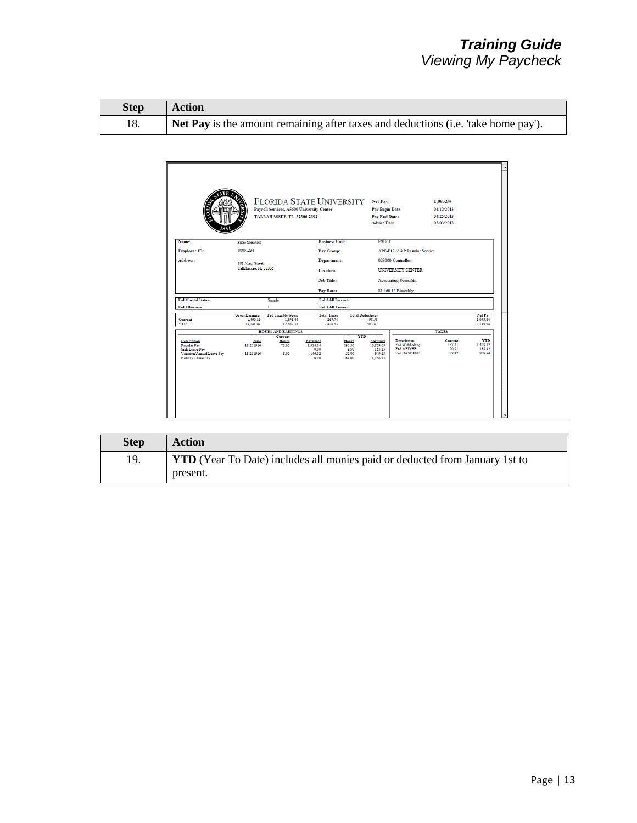| <b>Step</b> | Action                                                                             |
|-------------|------------------------------------------------------------------------------------|
|             | Net Pay is the amount remaining after taxes and deductions (i.e. 'take home pay'). |

|                                                                                                                            |                                                | Payroll Services, A5600 University Center<br>TALLAHASSEE, FL 32306-2392 | FLORIDA STATE UNIVERSITY Net Pay:                           |                                                         | <b>Pay Begin Date:</b><br><b>Pay End Date:</b><br><b>Advice Date:</b> |                                                             | 1,093.84<br>04/12/2013<br>04/25/2013<br>05/03/2013 |                                            |
|----------------------------------------------------------------------------------------------------------------------------|------------------------------------------------|-------------------------------------------------------------------------|-------------------------------------------------------------|---------------------------------------------------------|-----------------------------------------------------------------------|-------------------------------------------------------------|----------------------------------------------------|--------------------------------------------|
| Name:                                                                                                                      | <b>Susie Seminole</b>                          |                                                                         | <b>Business Unit:</b>                                       |                                                         | <b>FSU01</b>                                                          |                                                             |                                                    |                                            |
| Employee ID:                                                                                                               | 00001234                                       |                                                                         | Pay Group:                                                  |                                                         |                                                                       | APF-F12 /A&P Regular Service                                |                                                    |                                            |
| Address:                                                                                                                   | 101 Main Street<br>Tallahassee, FL 32306       |                                                                         | <b>Department:</b><br>Location:                             |                                                         | 029000-Controller<br><b>UNIVERSITY CENTER</b>                         |                                                             |                                                    |                                            |
|                                                                                                                            |                                                |                                                                         | <b>Job Title:</b>                                           |                                                         |                                                                       | <b>Accounting Specialist</b>                                |                                                    |                                            |
| <b>Fed Marital Status:</b>                                                                                                 |                                                |                                                                         | Pay Rate:<br>Fed Addl Percent:                              |                                                         |                                                                       | \$1,460.15 Biweekly                                         |                                                    |                                            |
| Fed Allowance:                                                                                                             |                                                | Single                                                                  | Fed Addl Amount:                                            |                                                         |                                                                       |                                                             |                                                    |                                            |
| Current<br><b>YTD</b>                                                                                                      | <b>Gross Earnings</b><br>1,460.16<br>13,141.44 | <b>Fed Taxable Gross</b><br>1.398.44<br>12,669.31                       | <b>Total Taxes</b><br>267.74<br>2,428.53                    |                                                         | <b>Total Deductions</b><br>98.58<br>563.87                            |                                                             |                                                    | Net Pay<br>1,093.84<br>10,149.04           |
|                                                                                                                            |                                                | <b>HOURS AND EARNINGS</b>                                               |                                                             |                                                         |                                                                       |                                                             | <b>TAXES</b>                                       |                                            |
| <b>Description</b><br><b>Regular Pay</b><br><b>Sick Leave Pay</b><br>Vacation/Annual Leave Pav<br><b>Holiday Leave Pay</b> | <br>Rate<br>18.251916<br>18.251916             | Current<br>Hours<br>72.00<br>\$.00                                      | ---------<br>Earnings<br>1.314.14<br>0.00<br>146.02<br>0.00 | <b>YTD</b><br>Hours<br>595.50<br>8.50<br>52.00<br>64.00 | Earnings<br>10.869.03<br>155.15<br>949.13<br>1.168.13                 | Description<br>Fed Withholdng<br>Fed MED/EE<br>Fed OASDI/EE | Current<br>157.41<br>20.91<br>89.42                | <b>YTD</b><br>1,429.17<br>189.42<br>809.94 |

| <b>Step</b> | <b>Action</b>                                                                      |
|-------------|------------------------------------------------------------------------------------|
| 19.         | <b>YTD</b> (Year To Date) includes all monies paid or deducted from January 1st to |
|             | present.                                                                           |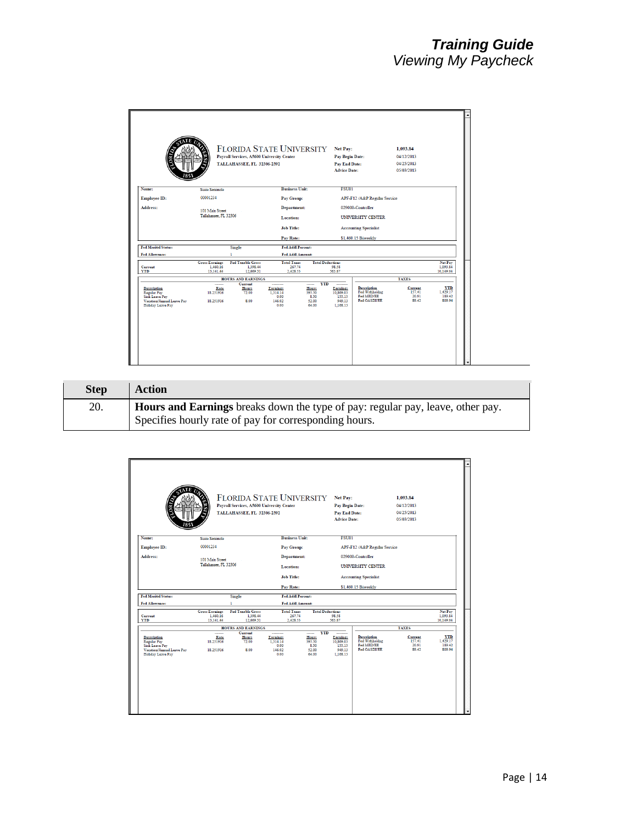|                                                                                                                     |                                                | Payroll Services, A5600 University Center<br>TALLAHASSEE, FL 32306-2392 | <b>FLORIDA STATE UNIVERSITY</b>                |                                                     | Net Pay:<br>Pay Begin Date:<br><b>Pay End Date:</b><br><b>Advice Date:</b> |                                                                    | 1.093.84<br>04/12/2013<br>04/25/2013<br>05/03/2013 |                                            |
|---------------------------------------------------------------------------------------------------------------------|------------------------------------------------|-------------------------------------------------------------------------|------------------------------------------------|-----------------------------------------------------|----------------------------------------------------------------------------|--------------------------------------------------------------------|----------------------------------------------------|--------------------------------------------|
| Name:                                                                                                               | <b>Susie Seminole</b>                          |                                                                         | <b>Business Unit:</b>                          |                                                     | <b>FSU01</b>                                                               |                                                                    |                                                    |                                            |
| <b>Employee ID:</b>                                                                                                 | 00001234                                       |                                                                         | Pay Group:                                     |                                                     |                                                                            | APF-F12 /A&P Regular Service                                       |                                                    |                                            |
| Address:                                                                                                            | 101 Main Street                                |                                                                         | <b>Department:</b>                             |                                                     |                                                                            | 029000-Controller                                                  |                                                    |                                            |
|                                                                                                                     | Tallahassee, FL 32306                          |                                                                         | Location:                                      |                                                     |                                                                            | UNIVERSITY CENTER                                                  |                                                    |                                            |
|                                                                                                                     |                                                |                                                                         | <b>Job Title:</b>                              |                                                     |                                                                            | <b>Accounting Specialist</b>                                       |                                                    |                                            |
|                                                                                                                     |                                                |                                                                         | Pay Rate:                                      |                                                     |                                                                            | \$1,460.15 Biweekly                                                |                                                    |                                            |
| <b>Fed Marital Status:</b>                                                                                          |                                                | <b>Single</b>                                                           | Fed Addl Percent:                              |                                                     |                                                                            |                                                                    |                                                    |                                            |
| Fed Allowance:                                                                                                      |                                                |                                                                         | Fed Addl Amount:                               |                                                     |                                                                            |                                                                    |                                                    |                                            |
| Current<br><b>YTD</b>                                                                                               | <b>Gross Earnings</b><br>1.460.16<br>13,141.44 | <b>Fed Taxable Gross</b><br>1.398.44<br>12.669.31                       | <b>Total Taxes</b><br>267.74<br>2,428.53       |                                                     | <b>Total Deductions</b><br>98.58<br>563.87                                 |                                                                    |                                                    | Net Pay<br>1,093.84<br>10,149.04           |
|                                                                                                                     |                                                | <b>HOURS AND EARNINGS</b>                                               |                                                |                                                     |                                                                            |                                                                    | <b>TAXES</b>                                       |                                            |
| <b>Description</b><br>Regular Pay<br><b>Sick Leave Pay</b><br>Vacation/Annual Leave Pav<br><b>Holiday Leave Pay</b> | <br>Rate<br>18.251916<br>18.251916             | Current<br>Hours<br>72.00<br>\$.00                                      | Earnings<br>1.314.14<br>0.00<br>146.02<br>0.00 | ------<br>Hours<br>595.50<br>8.50<br>52.00<br>64.00 | <b>YTD</b><br>Earnings<br>10.869.03<br>155.15<br>949.13<br>1.168.13        | <b>Description</b><br>Fed Withholdng<br>Fed MED/EE<br>Fed OASDI/EE | Current<br>157.41<br>20.91<br>89.42                | <b>YTD</b><br>1,429.17<br>189.42<br>809.94 |

| <b>Step</b> | <b>Action</b>                                                                                                                           |
|-------------|-----------------------------------------------------------------------------------------------------------------------------------------|
| 20.         | Hours and Earnings breaks down the type of pay: regular pay, leave, other pay.<br>Specifies hourly rate of pay for corresponding hours. |

|                                                                                                              |                                                | Payroll Services, A5600 University Center<br>TALLAHASSEE, FL 32306-2392 | <b>FLORIDA STATE UNIVERSITY</b>                    |                                                     | Net Pay:<br>Pay Begin Date:<br><b>Pay End Date:</b><br><b>Advice Date:</b>       |                                                                    | 1.093.84<br>04/12/2013<br>04/25/2013<br>05/03/2013 |                                            |
|--------------------------------------------------------------------------------------------------------------|------------------------------------------------|-------------------------------------------------------------------------|----------------------------------------------------|-----------------------------------------------------|----------------------------------------------------------------------------------|--------------------------------------------------------------------|----------------------------------------------------|--------------------------------------------|
| Name:                                                                                                        | <b>Susie Seminole</b>                          |                                                                         | <b>Business Unit:</b>                              |                                                     | <b>FSU01</b>                                                                     |                                                                    |                                                    |                                            |
| Employee ID:                                                                                                 | 00001234                                       |                                                                         | Pay Group:                                         |                                                     |                                                                                  | APF-F12 /A&P Regular Service                                       |                                                    |                                            |
| Address:                                                                                                     |                                                |                                                                         | <b>Department:</b>                                 |                                                     |                                                                                  | 029000-Controller                                                  |                                                    |                                            |
|                                                                                                              |                                                | 101 Main Street<br>Tallahassee. FL 32306                                |                                                    | Location:                                           |                                                                                  | <b>UNIVERSITY CENTER</b>                                           |                                                    |                                            |
|                                                                                                              |                                                |                                                                         | <b>Job Title:</b>                                  |                                                     |                                                                                  | <b>Accounting Specialist</b>                                       |                                                    |                                            |
|                                                                                                              |                                                |                                                                         | Pay Rate:                                          |                                                     |                                                                                  | \$1,460.15 Biweekly                                                |                                                    |                                            |
| <b>Fed Marital Status:</b>                                                                                   |                                                | <b>Single</b>                                                           | <b>Fed Addl Percent:</b>                           |                                                     |                                                                                  |                                                                    |                                                    |                                            |
| <b>Fed Allowance:</b>                                                                                        |                                                |                                                                         | Fed Addl Amount:                                   |                                                     |                                                                                  |                                                                    |                                                    |                                            |
| Current<br><b>YTD</b>                                                                                        | <b>Gross Earnings</b><br>1.460.16<br>13,141.44 | <b>Fed Taxable Gross</b><br>1.398.44<br>12.669.31                       | <b>Total Taxes</b><br>267.74<br>2,428.53           |                                                     | <b>Total Deductions</b><br>98.58<br>563.87                                       |                                                                    |                                                    | Net Pay<br>1,093.84<br>10,149.04           |
|                                                                                                              |                                                | <b>HOURS AND EARNINGS</b>                                               |                                                    |                                                     |                                                                                  |                                                                    | <b>TAXES</b>                                       |                                            |
| <b>Description</b><br>Regular Pav<br><b>Sick Leave Pay</b><br>Vacation/Annual Leave Pav<br>Holiday Leave Pay | <br>Rate<br>18.251916<br>18.251916             | Current<br>Hours<br>72.00<br>8.00                                       | <br>Earnings<br>1.314.14<br>0.00<br>146.02<br>0.00 | ------<br>Hours<br>595.50<br>8.50<br>52.00<br>64.00 | <b>YTD</b><br>---------<br>Earnings<br>10.869.03<br>155.15<br>949.13<br>1.168.13 | <b>Description</b><br>Fed Withholdng<br>Fed MED/EE<br>Fed OASDI/EE | Current<br>157.41<br>20.91<br>89.42                | <b>YTD</b><br>1,429.17<br>189.42<br>809.94 |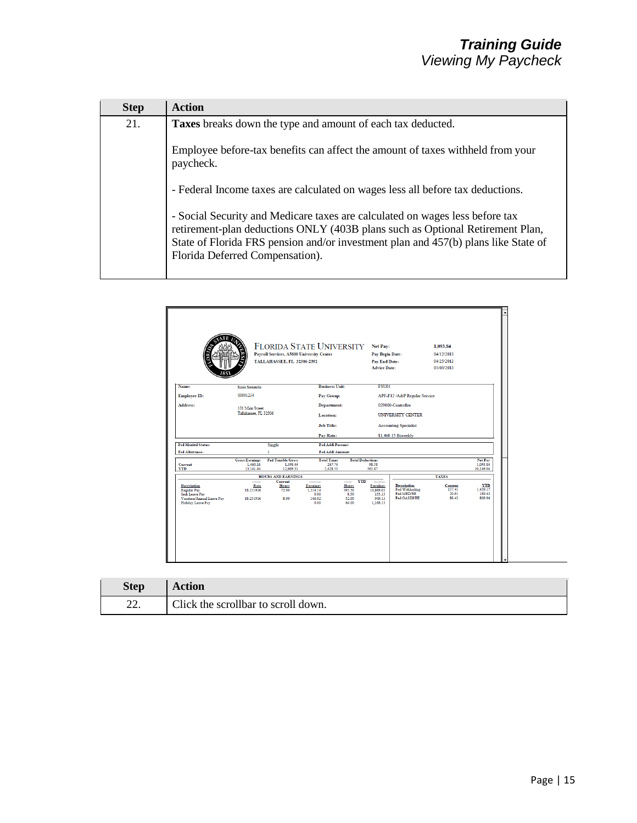| <b>Step</b> | <b>Action</b>                                                                                                                                                                                                                                                                          |
|-------------|----------------------------------------------------------------------------------------------------------------------------------------------------------------------------------------------------------------------------------------------------------------------------------------|
| 21.         | Taxes breaks down the type and amount of each tax deducted.                                                                                                                                                                                                                            |
|             | Employee before-tax benefits can affect the amount of taxes withheld from your<br>paycheck.                                                                                                                                                                                            |
|             | - Federal Income taxes are calculated on wages less all before tax deductions.                                                                                                                                                                                                         |
|             | - Social Security and Medicare taxes are calculated on wages less before tax<br>retirement-plan deductions ONLY (403B plans such as Optional Retirement Plan,<br>State of Florida FRS pension and/or investment plan and 457(b) plans like State of<br>Florida Deferred Compensation). |

|                                                                                                                            |                                                | <b>FLORIDA STATE UNIVERSITY</b><br>Payroll Services, A5600 University Center<br>TALLAHASSEE, FL 32306-2392 |                                                |                                                                   | Net Pay:<br>Pay Begin Date:<br><b>Pay End Date:</b><br><b>Advice Date:</b> |                                                                    | 1,093.84<br>04/12/2013<br>04/25/2013<br>05/03/2013 |                                            |
|----------------------------------------------------------------------------------------------------------------------------|------------------------------------------------|------------------------------------------------------------------------------------------------------------|------------------------------------------------|-------------------------------------------------------------------|----------------------------------------------------------------------------|--------------------------------------------------------------------|----------------------------------------------------|--------------------------------------------|
| Name:                                                                                                                      | Susie Seminole                                 |                                                                                                            | <b>Business Unit:</b>                          |                                                                   | <b>FSU01</b>                                                               |                                                                    |                                                    |                                            |
| Employee ID:                                                                                                               | 00001234                                       |                                                                                                            | Pay Group:                                     |                                                                   |                                                                            | APF-F12 /A&P Regular Service                                       |                                                    |                                            |
| Address:                                                                                                                   | 101 Main Street                                |                                                                                                            | <b>Department:</b>                             |                                                                   |                                                                            | 029000-Controller                                                  |                                                    |                                            |
|                                                                                                                            | Tallahassee, FL 32306                          |                                                                                                            | Location:                                      |                                                                   |                                                                            | UNIVERSITY CENTER                                                  |                                                    |                                            |
|                                                                                                                            |                                                |                                                                                                            | <b>Job Title:</b>                              |                                                                   | <b>Accounting Specialist</b>                                               |                                                                    |                                                    |                                            |
|                                                                                                                            |                                                |                                                                                                            | Pay Rate:                                      |                                                                   |                                                                            | \$1,460.15 Biweekly                                                |                                                    |                                            |
| <b>Fed Marital Status:</b>                                                                                                 |                                                | Single                                                                                                     | Fed Addl Percent:                              |                                                                   |                                                                            |                                                                    |                                                    |                                            |
| Fed Allowance:                                                                                                             |                                                |                                                                                                            | Fed Addl Amount:                               |                                                                   |                                                                            |                                                                    |                                                    |                                            |
| Current<br><b>YTD</b>                                                                                                      | <b>Gross Earnings</b><br>1.460.16<br>13,141.44 | <b>Fed Taxable Gross</b><br>1.398.44<br>12,669.31                                                          | <b>Total Taxes</b><br>267.74<br>2,428.53       |                                                                   | <b>Total Deductions</b><br>98.58<br>563.87                                 |                                                                    |                                                    | Net Pay<br>1,093.84<br>10,149.04           |
|                                                                                                                            |                                                | <b>HOURS AND EARNINGS</b>                                                                                  |                                                |                                                                   |                                                                            |                                                                    | <b>TAXES</b>                                       |                                            |
| <b>Description</b><br><b>Regular Pay</b><br><b>Sick Leave Pay</b><br>Vacation/Annual Leave Pav<br><b>Holiday Leave Pay</b> | Rate<br>18.251916<br>18.251916                 | Current<br>Hours<br>72.00<br>\$.00                                                                         | Earnings<br>1.314.14<br>0.00<br>146.02<br>0.00 | <b>YTD</b><br>------<br>Hours<br>595.50<br>8.50<br>52.00<br>64.00 | Earnings<br>10.869.03<br>155.15<br>949.13<br>1.168.13                      | <b>Description</b><br>Fed Withholdng<br>Fed MED/EE<br>Fed OASDI/EE | Current<br>157.41<br>20.91<br>89.42                | <b>YTD</b><br>1.429.17<br>189.42<br>809.94 |

| <b>Step</b> | <b>Action</b>                       |
|-------------|-------------------------------------|
| 22.         | Click the scrollbar to scroll down. |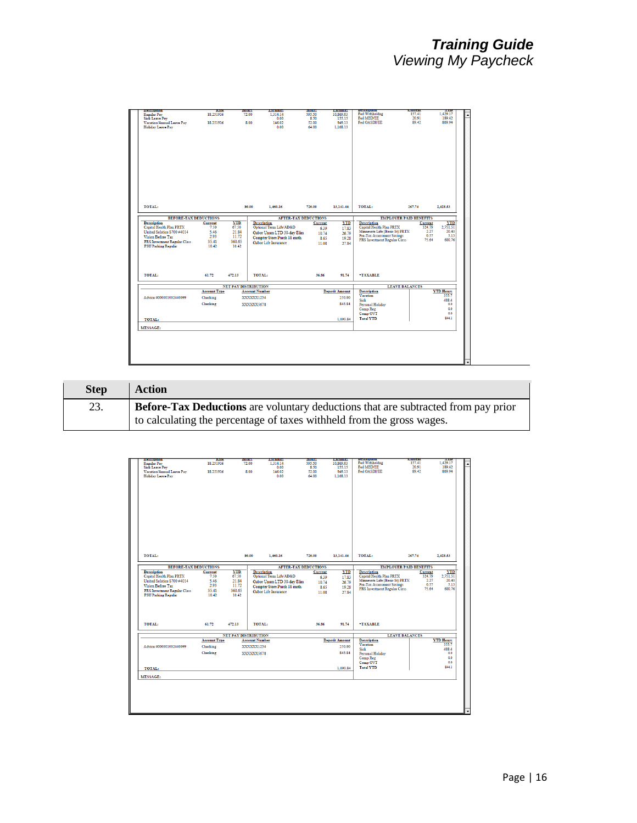| Regular Pay<br><b>Sick Leave Pay</b>                                                                                                                                        | nate<br>18.251916                        |                                                 | nours<br><b>Larnings</b><br>72.00<br>1,314.14                                                                                   | <b>HOUTS</b><br>595.50                                                    | <b>Caramic</b><br>10.869.03                        | <b>DESCRIPTION</b><br>Fed Withholdng                                                                                                                            | <b>Current</b><br>157.41                                                              | 1111<br>1,429.17                                              |
|-----------------------------------------------------------------------------------------------------------------------------------------------------------------------------|------------------------------------------|-------------------------------------------------|---------------------------------------------------------------------------------------------------------------------------------|---------------------------------------------------------------------------|----------------------------------------------------|-----------------------------------------------------------------------------------------------------------------------------------------------------------------|---------------------------------------------------------------------------------------|---------------------------------------------------------------|
|                                                                                                                                                                             |                                          |                                                 | 0.00                                                                                                                            | 8.50                                                                      | 155.15                                             | Fed MED/EE                                                                                                                                                      | 20.91                                                                                 | 189.42                                                        |
| Vacation/Annual Leave Pav                                                                                                                                                   | 18.251916                                |                                                 | 8.00<br>146.02                                                                                                                  | 52.00                                                                     | 949.13                                             | Fed OASDI/EE                                                                                                                                                    | 89.42                                                                                 | 809.94                                                        |
| Holiday Leave Pay                                                                                                                                                           |                                          |                                                 | 0.00                                                                                                                            | 64.00                                                                     | 1.168.13                                           |                                                                                                                                                                 |                                                                                       |                                                               |
| TOTAL:<br><b>BEFORE-TAX DEDUCTIONS</b><br><b>Description</b><br>Capital Health Plan PRTX<br>United Solstice S700 #4014<br>Vision Before Tax<br>FRS Investment Regular Class | Current<br>7.50<br>5.46<br>2.93<br>35.41 | <b>YTD</b><br>67.50<br>21.84<br>11.72<br>360.65 | 80.00<br>1.460.16<br><b>Description</b><br>Optional Term Life/AD&D<br>Gabor Unum LTD 30-day Elim<br>Compter Store Purch 18 mnth | 720.00<br><b>AFTER-TAX DEDUCTIONS</b><br>Current<br>6.39<br>10.74<br>8.65 | 13.141.44<br><b>YTD</b><br>17.83<br>26.79<br>19.28 | TOTAL:<br><b>Description</b><br>Capital Health Plan PRTX<br>Minnesota Life (Basic St) PRTX<br><b>Pre-Tax Assessment Savings</b><br>FRS Investment Regular Class | 267.74<br><b>EMPLOYER PAID BENEFITS</b><br>Current<br>324.79<br>2.27<br>0.57<br>75.64 | 2.428.53<br><b>YTD</b><br>2,751.51<br>20.43<br>5.13<br>680.76 |
| <b>FSU Parking Regular</b>                                                                                                                                                  | 10.42                                    | 10.42                                           | Gabor Life Insurance                                                                                                            | 11.08                                                                     | 27.84                                              |                                                                                                                                                                 |                                                                                       |                                                               |
|                                                                                                                                                                             | 61.72                                    | 472.13                                          | TOTAL:                                                                                                                          | 36.86                                                                     | 91.74                                              | *TAXABLE                                                                                                                                                        |                                                                                       |                                                               |
|                                                                                                                                                                             |                                          |                                                 |                                                                                                                                 |                                                                           |                                                    |                                                                                                                                                                 | <b>LEAVE BALANCES</b>                                                                 |                                                               |
|                                                                                                                                                                             |                                          | <b>NET PAY DISTRIBUTION</b>                     |                                                                                                                                 |                                                                           |                                                    |                                                                                                                                                                 |                                                                                       |                                                               |
|                                                                                                                                                                             | <b>Account Type</b>                      |                                                 | <b>Account Number</b>                                                                                                           |                                                                           | <b>Deposit Amount</b>                              | <b>Description</b>                                                                                                                                              |                                                                                       | <b>YTD Hours</b>                                              |
|                                                                                                                                                                             | Checking                                 |                                                 | XXXXXX1234                                                                                                                      |                                                                           | 250.00                                             | Vacation                                                                                                                                                        |                                                                                       | 355.7                                                         |
|                                                                                                                                                                             | Checking                                 |                                                 | XXXXXX5678                                                                                                                      |                                                                           | \$43.84                                            | Siek<br>Personal Holiday                                                                                                                                        |                                                                                       | 488.4<br>0.0                                                  |
|                                                                                                                                                                             |                                          |                                                 |                                                                                                                                 |                                                                           |                                                    | Comp Reg                                                                                                                                                        |                                                                                       | 0.0                                                           |
|                                                                                                                                                                             |                                          |                                                 |                                                                                                                                 |                                                                           |                                                    | Comp OVT                                                                                                                                                        |                                                                                       | 0 <sub>0</sub>                                                |
| TOTAL:<br>Advice #000001002440099<br><b>TOTAL:</b>                                                                                                                          |                                          |                                                 |                                                                                                                                 |                                                                           | 1,093.84                                           | <b>Total YTD</b>                                                                                                                                                |                                                                                       | 844.1                                                         |

| <b>Step</b> | <b>Action</b>                                                                                                                                                     |
|-------------|-------------------------------------------------------------------------------------------------------------------------------------------------------------------|
| 23.         | <b>Before-Tax Deductions</b> are voluntary deductions that are subtracted from pay prior<br>to calculating the percentage of taxes withheld from the gross wages. |

| <b>Description</b>                                | Mate                | 6088                        | <b>Farmuse</b>              | <b>HOHA</b>   | <b>Farmule</b>        | <b><i><u>PERSONAL BROAD</u></i></b>                        | emem                          | <b>ALL US</b>                       |
|---------------------------------------------------|---------------------|-----------------------------|-----------------------------|---------------|-----------------------|------------------------------------------------------------|-------------------------------|-------------------------------------|
| Regular Pay                                       | 18.251916           | 72.00                       | 1,314.14                    | 595.50        | 10.869.03             | Fed Withholdng                                             | 157.41                        | 1.429.17                            |
| <b>Sick Leave Pay</b>                             |                     | 8.00                        | 0.00                        | 8.50<br>52.00 | 155.15<br>949.13      | Fed MED/EE<br>Fed OASDI/EE                                 | 20.91<br>89.42                | 189.42<br>809.94                    |
| Vacation/Annual Leave Pay<br>Holiday Leave Pay    | 18.251916           |                             | 146.02<br>0.00              | 64.00         | 1.168.13              |                                                            |                               |                                     |
|                                                   |                     |                             |                             |               |                       |                                                            |                               |                                     |
|                                                   |                     |                             |                             |               |                       |                                                            |                               |                                     |
|                                                   |                     |                             |                             |               |                       |                                                            |                               |                                     |
|                                                   |                     |                             |                             |               |                       |                                                            |                               |                                     |
|                                                   |                     |                             |                             |               |                       |                                                            |                               |                                     |
|                                                   |                     |                             |                             |               |                       |                                                            |                               |                                     |
|                                                   |                     |                             |                             |               |                       |                                                            |                               |                                     |
|                                                   |                     |                             |                             |               |                       |                                                            |                               |                                     |
|                                                   |                     |                             |                             |               |                       |                                                            |                               |                                     |
|                                                   |                     |                             |                             |               |                       |                                                            |                               |                                     |
|                                                   |                     |                             |                             |               |                       |                                                            |                               |                                     |
|                                                   |                     |                             |                             |               |                       |                                                            |                               |                                     |
|                                                   |                     |                             |                             |               |                       |                                                            |                               |                                     |
|                                                   |                     |                             |                             |               |                       |                                                            |                               |                                     |
| TOTAL:                                            |                     | 80.00                       | 1.460.16                    | 720.00        | 13.141.44             | TOTAL:                                                     | 267.74                        | 2.428.53                            |
|                                                   |                     |                             |                             |               |                       |                                                            |                               |                                     |
| <b>BEFORE-TAX DEDUCTIONS</b>                      |                     |                             | <b>AFTER-TAX DEDUCTIONS</b> |               |                       |                                                            | <b>EMPLOYER PAID BENEFITS</b> |                                     |
| <b>Description</b>                                | Current             | <b>YTD</b>                  | <b>Description</b>          | Current       | <b>YTD</b>            | <b>Description</b>                                         | Current                       | <b>YTD</b>                          |
| Capital Health Plan PRTX                          | 7.50                | 67.50                       | Optional Term Life/AD&D     | 6.39          | 17.83                 | Capital Health Plan PRTX<br>Minnesota Life (Basic St) PRTX |                               | 2,751.51<br>324.79<br>2.27<br>20.43 |
| United Solstice S700 #4014                        | 5.46<br>2.93        | 21.84<br>11.72              | Gabor Unum LTD 30-day Elim  | 10.74         | 26.79                 | <b>Pre-Tax Assessment Savings</b>                          |                               | 0.57<br>5.13                        |
| Vision Before Tax<br>FRS Investment Regular Class | 35.41               | 360.65                      | Compter Store Purch 18 mnth | 8.65          | 19.28                 | FRS Investment Regular Class                               |                               | 75.64<br>680.76                     |
| <b>FSU Parking Regular</b>                        | 10.42               | 10.42                       | Gabor Life Insurance        | 11.08         | 27.84                 |                                                            |                               |                                     |
|                                                   |                     |                             |                             |               |                       |                                                            |                               |                                     |
|                                                   |                     |                             |                             |               |                       |                                                            |                               |                                     |
|                                                   |                     |                             |                             |               |                       |                                                            |                               |                                     |
|                                                   |                     |                             |                             |               |                       |                                                            |                               |                                     |
|                                                   |                     |                             |                             |               |                       |                                                            |                               |                                     |
| TOTAL:                                            | 61.72               | 472.13                      | TOTAL:                      | 36.86         | 91.74                 | *TAXABLE                                                   |                               |                                     |
|                                                   |                     |                             |                             |               |                       |                                                            |                               |                                     |
|                                                   | <b>Account Type</b> | <b>NET PAY DISTRIBUTION</b> | <b>Account Number</b>       |               | <b>Deposit Amount</b> | <b>Description</b>                                         | <b>LEAVE BALANCES</b>         | <b>YTD Hours</b>                    |
|                                                   |                     |                             |                             |               |                       | Vacation                                                   |                               | 355.7                               |
|                                                   | Checking            |                             | XXXXXX1234                  |               | 250.00                | Sick                                                       |                               | 488.4                               |
|                                                   |                     |                             | XXXXXX5678                  |               | \$43.84               | Personal Holiday                                           |                               | 0.0                                 |
|                                                   | Checking            |                             |                             |               |                       | Comp Reg                                                   |                               | 0.0                                 |
| Advice #000001002440099                           |                     |                             |                             |               |                       |                                                            |                               | 0.0                                 |
|                                                   |                     |                             |                             |               |                       | Comp OVT                                                   |                               |                                     |
| <b>TOTAL:</b>                                     |                     |                             |                             |               | 1,093.84              | <b>Total YTD</b>                                           |                               |                                     |
|                                                   |                     |                             |                             |               |                       |                                                            |                               | 844.1                               |
| <b>MESSAGE:</b>                                   |                     |                             |                             |               |                       |                                                            |                               |                                     |
|                                                   |                     |                             |                             |               |                       |                                                            |                               |                                     |
|                                                   |                     |                             |                             |               |                       |                                                            |                               |                                     |
|                                                   |                     |                             |                             |               |                       |                                                            |                               |                                     |
|                                                   |                     |                             |                             |               |                       |                                                            |                               |                                     |
|                                                   |                     |                             |                             |               |                       |                                                            |                               |                                     |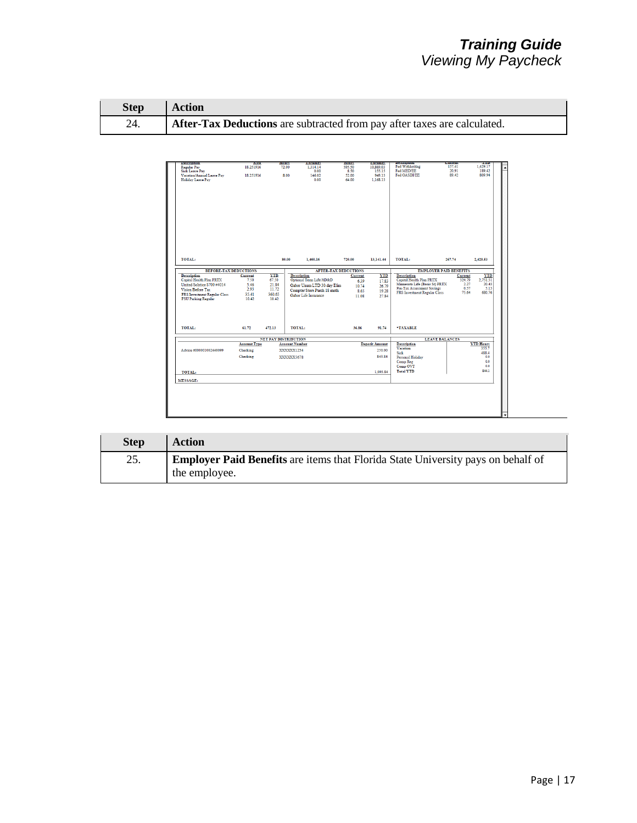| <b>Step</b> | <b>Action</b>                                                                   |
|-------------|---------------------------------------------------------------------------------|
| 24.         | <b>After-Tax Deductions</b> are subtracted from pay after taxes are calculated. |

| пексирнов<br>Regular Pay                           | <b>Aate</b><br>18.251916 | <b>HOHS</b><br>72.00        | <b>Farmuse</b><br>1.314.14  | 1003100<br>595.50 | <b>Farming</b><br>10.869.03 | --------------<br>Fed Withholdng                                    | ---------<br>157.41           | 1100<br>1.429.17              |
|----------------------------------------------------|--------------------------|-----------------------------|-----------------------------|-------------------|-----------------------------|---------------------------------------------------------------------|-------------------------------|-------------------------------|
| <b>Sick Leave Pay</b><br>Vacation/Annual Leave Pav | 18.251916                | 8.00                        | 0.00<br>146.02              | 8.50<br>52.00     | 155.15<br>949.13            | Fed MED/EE<br>Fed OASDI/EE                                          | 20.91<br>89.42                | 189.42<br>809.94              |
| Holiday Leave Pay                                  |                          |                             | 0.00                        | 64.00             | 1.168.13                    |                                                                     |                               |                               |
|                                                    |                          |                             |                             |                   |                             |                                                                     |                               |                               |
|                                                    |                          |                             |                             |                   |                             |                                                                     |                               |                               |
|                                                    |                          |                             |                             |                   |                             |                                                                     |                               |                               |
|                                                    |                          |                             |                             |                   |                             |                                                                     |                               |                               |
|                                                    |                          |                             |                             |                   |                             |                                                                     |                               |                               |
|                                                    |                          |                             |                             |                   |                             |                                                                     |                               |                               |
|                                                    |                          |                             |                             |                   |                             |                                                                     |                               |                               |
|                                                    |                          |                             |                             |                   |                             |                                                                     |                               |                               |
|                                                    |                          |                             |                             |                   |                             |                                                                     |                               |                               |
|                                                    |                          |                             |                             |                   |                             |                                                                     |                               |                               |
|                                                    |                          |                             |                             |                   |                             |                                                                     |                               |                               |
|                                                    |                          |                             |                             |                   |                             |                                                                     |                               |                               |
|                                                    |                          |                             |                             |                   |                             |                                                                     |                               |                               |
| TOTAL:                                             |                          | 80.00                       | 1.460.16                    | 720.00            | 13.141.44                   | TOTAL:                                                              | 267.74                        | 2.428.53                      |
|                                                    |                          |                             |                             |                   |                             |                                                                     |                               |                               |
| <b>BEFORE-TAX DEDUCTIONS</b>                       |                          |                             | <b>AFTER-TAX DEDUCTIONS</b> |                   |                             |                                                                     | <b>EMPLOYER PAID BENEFITS</b> |                               |
| <b>Description</b>                                 | Current                  | <b>YTD</b>                  | <b>Description</b>          | Current           | <b>YTD</b>                  | <b>Description</b>                                                  | Current                       | <b>YTD</b>                    |
| Capital Health Plan PRTX                           | 7.50                     | 67.50                       | Optional Term Life/AD&D     | 6.39              | 17.83                       | Capital Health Plan PRTX                                            | 324.79                        | 2,751.51                      |
| United Solstice S700 #4014<br>Vision Before Tax    | 5.46<br>2.93             | 21.84<br>11.72              | Gabor Unum LTD 30-day Elim  | 10.74             | 26.79                       | Minnesota Life (Basic St) PRTX<br><b>Pre-Tax Assessment Savings</b> |                               | 2.27<br>20.43<br>0.57<br>5.13 |
| FRS Investment Regular Class                       | 35.41                    | 360.65                      | Compter Store Purch 18 mnth | 8.65              | 19.28                       | FRS Investment Regular Class                                        |                               | 75.64<br>680.76               |
| <b>FSU Parking Regular</b>                         | 10.42                    | 10.42                       | Gabor Life Insurance        | 11.08             | 27.84                       |                                                                     |                               |                               |
|                                                    |                          |                             |                             |                   |                             |                                                                     |                               |                               |
|                                                    |                          |                             |                             |                   |                             |                                                                     |                               |                               |
|                                                    |                          |                             |                             |                   |                             |                                                                     |                               |                               |
|                                                    |                          |                             |                             |                   |                             |                                                                     |                               |                               |
| TOTAL:                                             | 61.72                    | 472.13                      | TOTAL:                      | 36.86             | 91.74                       | *TAXABLE                                                            |                               |                               |
|                                                    |                          |                             |                             |                   |                             |                                                                     |                               |                               |
|                                                    | <b>Account Type</b>      | <b>NET PAY DISTRIBUTION</b> | <b>Account Number</b>       |                   | <b>Deposit Amount</b>       | <b>Description</b>                                                  | <b>LEAVE BALANCES</b>         | <b>YTD Hours</b>              |
|                                                    |                          |                             |                             |                   |                             | Vacation                                                            |                               | 355.7                         |
| Advice #000001002440099                            | Checking                 |                             | XXXXXX1234                  |                   | 250.00                      | Sick                                                                |                               | 488.4                         |
|                                                    | Checking                 |                             | XXXXXX5678                  |                   | 843.84                      | Personal Holiday                                                    |                               | 0.0                           |
|                                                    |                          |                             |                             |                   |                             | Comp Reg<br>Comp OVT                                                |                               | 0.0<br>0.0                    |
|                                                    |                          |                             |                             |                   |                             | <b>Total YTD</b>                                                    |                               | 844.1                         |
| <b>TOTAL:</b>                                      |                          |                             |                             |                   | 1,093.84                    |                                                                     |                               |                               |
| <b>MESSAGE:</b>                                    |                          |                             |                             |                   |                             |                                                                     |                               |                               |
|                                                    |                          |                             |                             |                   |                             |                                                                     |                               |                               |
|                                                    |                          |                             |                             |                   |                             |                                                                     |                               |                               |
|                                                    |                          |                             |                             |                   |                             |                                                                     |                               |                               |
|                                                    |                          |                             |                             |                   |                             |                                                                     |                               |                               |
|                                                    |                          |                             |                             |                   |                             |                                                                     |                               |                               |

| <b>Step</b> | <b>Action</b>                                                                           |
|-------------|-----------------------------------------------------------------------------------------|
| 25.         | <b>Employer Paid Benefits</b> are items that Florida State University pays on behalf of |
|             | the employee.                                                                           |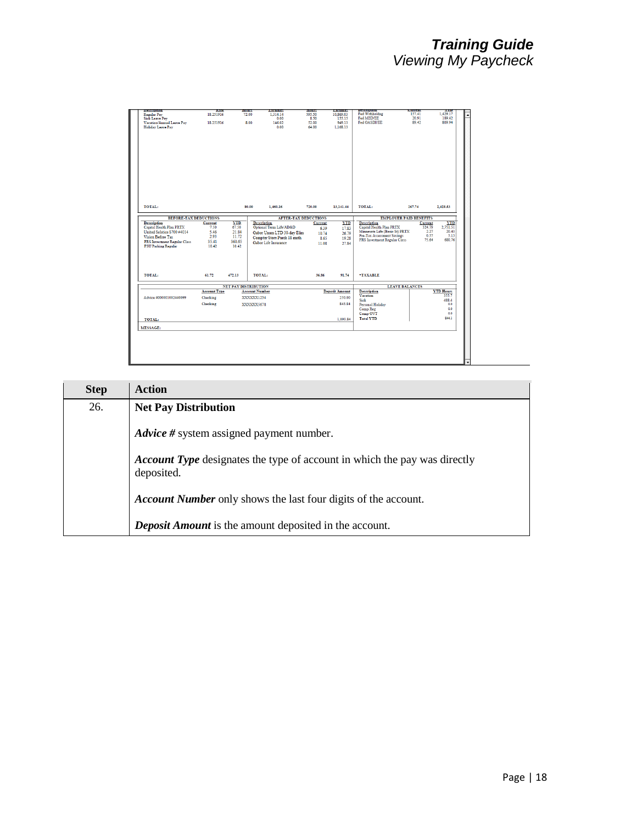| <b>Description</b>                                   | nate                | nours                       | <b>Larnings</b>             | nours   | <b>Larnings</b>       | <b>DESCRIPTION</b>                                           | уштеп                         | - 111                         |
|------------------------------------------------------|---------------------|-----------------------------|-----------------------------|---------|-----------------------|--------------------------------------------------------------|-------------------------------|-------------------------------|
| Regular Pay                                          | 18.251916           | 72.00                       | 1.314.14                    | 595.50  | 10.869.03             | Fed Withholdng                                               | 157.41                        | 1,429.17                      |
| <b>Sick Leave Pav</b>                                |                     |                             | 0.00                        | 8.50    | 155.15                | Fed MED/EE                                                   | 20.91                         | 189.42                        |
| Vacation/Annual Leave Pav                            | 18.251916           |                             | 8.00<br>146.02              | 52.00   | 949.13                | Fed OASDI/EE                                                 | 89.42                         | 809 94                        |
| Holiday Leave Pay                                    |                     |                             | 0.00                        | 64.00   | 1.168.13              |                                                              |                               |                               |
|                                                      |                     |                             |                             |         |                       |                                                              |                               |                               |
|                                                      |                     |                             |                             |         |                       |                                                              |                               |                               |
|                                                      |                     |                             |                             |         |                       |                                                              |                               |                               |
|                                                      |                     |                             |                             |         |                       |                                                              |                               |                               |
|                                                      |                     |                             |                             |         |                       |                                                              |                               |                               |
|                                                      |                     |                             |                             |         |                       |                                                              |                               |                               |
|                                                      |                     |                             |                             |         |                       |                                                              |                               |                               |
|                                                      |                     |                             |                             |         |                       |                                                              |                               |                               |
|                                                      |                     |                             |                             |         |                       |                                                              |                               |                               |
|                                                      |                     |                             |                             |         |                       |                                                              |                               |                               |
|                                                      |                     |                             |                             |         |                       |                                                              |                               |                               |
|                                                      |                     |                             |                             |         |                       |                                                              |                               |                               |
|                                                      |                     |                             |                             |         |                       |                                                              |                               |                               |
|                                                      |                     |                             |                             |         |                       |                                                              |                               |                               |
|                                                      |                     |                             |                             |         |                       |                                                              |                               |                               |
| TOTAL:                                               |                     |                             | 80.00<br>1,460.16           | 720.00  | 13,141.44             | TOTAL:                                                       | 267.74                        | 2,428.53                      |
|                                                      |                     |                             |                             |         |                       |                                                              |                               |                               |
| <b>BEFORE-TAX DEDUCTIONS</b>                         |                     |                             | <b>AFTER-TAX DEDUCTIONS</b> |         |                       |                                                              | <b>EMPLOYER PAID BENEFITS</b> |                               |
| <b>Description</b>                                   | Current             | <b>YTD</b>                  | <b>Description</b>          | Current | <b>YTD</b>            | <b>Description</b>                                           | Current                       | <b>YTD</b>                    |
| Capital Health Plan PRTX                             | 7.50                | 67.50                       | Optional Term Life/AD&D     | 6.39    | 17.83                 | Capital Health Plan PRTX                                     | 324.79                        | 2,751.51                      |
| United Solstice S700 #4014                           | 5.46                | 21.84                       | Gabor Unum LTD 30-day Elim  | 10.74   | 26.79                 | Minnesota Life (Basic St) PRTX<br>Pre-Tax Assessment Savings |                               | 2.27<br>20.43<br>0.57<br>5.13 |
| Vision Before Tax                                    | 2.93                | 11.72                       | Compter Store Purch 18 mnth | 8.65    | 19.28                 | FRS Investment Regular Class                                 |                               | 680.76<br>75.64               |
| FRS Investment Regular Class                         | 35.41               | 360.65                      | Gabor Life Insurance        | 11.08   | 27.84                 |                                                              |                               |                               |
| <b>FSU Parking Regular</b>                           | 10.42               | 10.42                       |                             |         |                       |                                                              |                               |                               |
|                                                      |                     |                             |                             |         |                       |                                                              |                               |                               |
|                                                      |                     |                             |                             |         |                       |                                                              |                               |                               |
|                                                      |                     |                             |                             |         |                       |                                                              |                               |                               |
|                                                      |                     |                             |                             |         |                       |                                                              |                               |                               |
| TOTAL:                                               | 61.72               | 472.13                      | <b>TOTAL:</b>               | 36.86   | 91.74                 | *TAXABLE                                                     |                               |                               |
|                                                      |                     |                             |                             |         |                       |                                                              |                               |                               |
|                                                      |                     |                             |                             |         |                       |                                                              |                               |                               |
|                                                      |                     |                             |                             |         |                       |                                                              |                               |                               |
|                                                      |                     | <b>NET PAY DISTRIBUTION</b> |                             |         |                       |                                                              | <b>LEAVE BALANCES</b>         |                               |
|                                                      | <b>Account Type</b> |                             | <b>Account Number</b>       |         | <b>Deposit Amount</b> | <b>Description</b><br>Vacation                               |                               | <b>YTD Hours</b><br>355.7     |
|                                                      | Checking            |                             | XXXXXX1234                  |         | 250.00                | Sick                                                         |                               | 488.4                         |
|                                                      | Checking            |                             | XXXXXX5678                  |         | 843.84                | Personal Holiday                                             |                               | 0.0                           |
|                                                      |                     |                             |                             |         |                       | Comp Reg                                                     |                               | 0.0                           |
|                                                      |                     |                             |                             |         |                       | Comp OVT                                                     |                               | 0.0                           |
|                                                      |                     |                             |                             |         | 1,093.84              | <b>Total YTD</b>                                             |                               | 844.1                         |
|                                                      |                     |                             |                             |         |                       |                                                              |                               |                               |
| Advice #000001002440099<br>TOTAL:<br><b>MESSAGE:</b> |                     |                             |                             |         |                       |                                                              |                               |                               |
|                                                      |                     |                             |                             |         |                       |                                                              |                               |                               |
|                                                      |                     |                             |                             |         |                       |                                                              |                               |                               |
|                                                      |                     |                             |                             |         |                       |                                                              |                               |                               |
|                                                      |                     |                             |                             |         |                       |                                                              |                               |                               |

| <b>Step</b> | <b>Action</b>                                                                                  |
|-------------|------------------------------------------------------------------------------------------------|
| 26.         | <b>Net Pay Distribution</b>                                                                    |
|             | <i>Advice</i> # system assigned payment number.                                                |
|             | <b>Account Type</b> designates the type of account in which the pay was directly<br>deposited. |
|             | <b>Account Number</b> only shows the last four digits of the account.                          |
|             | <b>Deposit Amount</b> is the amount deposited in the account.                                  |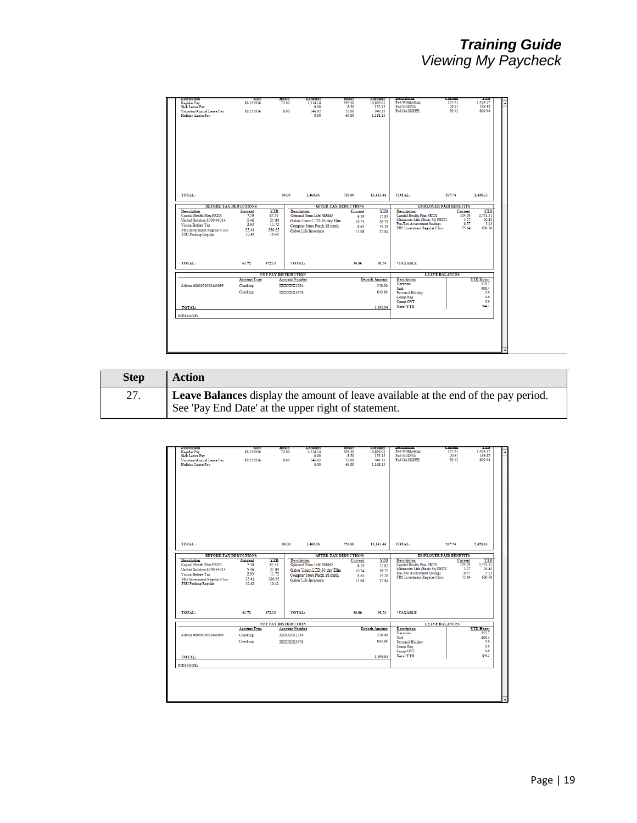| Fed Withholdng<br>157.41<br>1.429.17<br>18.251916<br>595.50<br>72.00<br>1.314.14<br>10.869.03<br>Fed MED/EE<br>20.91<br>189.42<br><b>Sick Leave Pay</b><br>0.00<br>8.50<br>155.15<br>Vacation/Annual Leave Pav<br>949.13<br>Fed OASDI/EE<br>89.42<br>809.94<br>18.251916<br>8.00<br>146.02<br>52.00<br>Holiday Leave Pay<br>0.00<br>64.00<br>1.168.13<br>TOTAL:<br>80.00<br>TOTAL:<br>1,460.16<br>720.00<br>267.74<br>2,428.53<br>13,141.44<br><b>BEFORE-TAX DEDUCTIONS</b><br><b>AFTER-TAX DEDUCTIONS</b><br><b>EMPLOYER PAID BENEFITS</b><br><b>Description</b><br>Current<br><b>YTD</b><br><b>Description</b><br><b>YTD</b><br><b>Description</b><br><b>YTD</b><br>Current<br>Current<br>Capital Health Plan PRTX<br>67.50<br>Optional Term Life/AD&D<br>Capital Health Plan PRTX<br>2,751.51<br>7.50<br>324.79<br>17.83<br>6.39<br>Minnesota Life (Basic St) PRTX<br>2.27<br>20.43<br>United Solstice S700 #4014<br>5.46<br>21.84<br>Gabor Unum LTD 30-day Elim<br>26.79<br>10.74<br><b>Pre-Tax Assessment Savings</b><br>0.57<br>5.13<br>2.93<br>11.72<br>Vision Before Tax<br>Compter Store Purch 18 mnth<br>19.28<br>8.65<br>FRS Investment Regular Class<br>680.76<br>75.64<br>35.41<br>360.65<br>FRS Investment Regular Class<br>Gabor Life Insurance<br>11.08<br>27.84<br><b>FSU Parking Regular</b><br>10.42<br>10.42<br>TOTAL:<br>*TAXABLE<br>61.72<br>472.13<br>36.86<br>91.74<br><b>NET PAY DISTRIBUTION</b><br><b>LEAVE BALANCES</b><br><b>Description</b><br><b>Account Type</b><br><b>Account Number</b><br><b>Deposit Amount</b><br><b>YTD Hours</b><br>Vacation<br>355.7<br>Advice #000001002440099<br>Checking<br>XXXXXX1234<br>250.00<br>Siek<br>488.4<br>Checking<br>843.84<br>0.0<br>Personal Holiday<br>XXXXXX5678<br>Comp Reg<br>0.0<br>Comp OVT<br>0.0<br>844.1<br><b>Total YTD</b><br>1,093.84<br>TOTAL:<br><b>MESSAGE:</b> | <b>Description</b> | nate | почто<br>caramge | <b>HOURS</b> | <b>Carmings</b> | <b>L'extrution</b> | Current<br>- 1111 |
|--------------------------------------------------------------------------------------------------------------------------------------------------------------------------------------------------------------------------------------------------------------------------------------------------------------------------------------------------------------------------------------------------------------------------------------------------------------------------------------------------------------------------------------------------------------------------------------------------------------------------------------------------------------------------------------------------------------------------------------------------------------------------------------------------------------------------------------------------------------------------------------------------------------------------------------------------------------------------------------------------------------------------------------------------------------------------------------------------------------------------------------------------------------------------------------------------------------------------------------------------------------------------------------------------------------------------------------------------------------------------------------------------------------------------------------------------------------------------------------------------------------------------------------------------------------------------------------------------------------------------------------------------------------------------------------------------------------------------------------------------------------------------------------------------------------------------------------------------------|--------------------|------|------------------|--------------|-----------------|--------------------|-------------------|
|                                                                                                                                                                                                                                                                                                                                                                                                                                                                                                                                                                                                                                                                                                                                                                                                                                                                                                                                                                                                                                                                                                                                                                                                                                                                                                                                                                                                                                                                                                                                                                                                                                                                                                                                                                                                                                                        | Regular Pay        |      |                  |              |                 |                    |                   |
|                                                                                                                                                                                                                                                                                                                                                                                                                                                                                                                                                                                                                                                                                                                                                                                                                                                                                                                                                                                                                                                                                                                                                                                                                                                                                                                                                                                                                                                                                                                                                                                                                                                                                                                                                                                                                                                        |                    |      |                  |              |                 |                    |                   |
|                                                                                                                                                                                                                                                                                                                                                                                                                                                                                                                                                                                                                                                                                                                                                                                                                                                                                                                                                                                                                                                                                                                                                                                                                                                                                                                                                                                                                                                                                                                                                                                                                                                                                                                                                                                                                                                        |                    |      |                  |              |                 |                    |                   |
|                                                                                                                                                                                                                                                                                                                                                                                                                                                                                                                                                                                                                                                                                                                                                                                                                                                                                                                                                                                                                                                                                                                                                                                                                                                                                                                                                                                                                                                                                                                                                                                                                                                                                                                                                                                                                                                        |                    |      |                  |              |                 |                    |                   |
|                                                                                                                                                                                                                                                                                                                                                                                                                                                                                                                                                                                                                                                                                                                                                                                                                                                                                                                                                                                                                                                                                                                                                                                                                                                                                                                                                                                                                                                                                                                                                                                                                                                                                                                                                                                                                                                        |                    |      |                  |              |                 |                    |                   |
|                                                                                                                                                                                                                                                                                                                                                                                                                                                                                                                                                                                                                                                                                                                                                                                                                                                                                                                                                                                                                                                                                                                                                                                                                                                                                                                                                                                                                                                                                                                                                                                                                                                                                                                                                                                                                                                        |                    |      |                  |              |                 |                    |                   |
|                                                                                                                                                                                                                                                                                                                                                                                                                                                                                                                                                                                                                                                                                                                                                                                                                                                                                                                                                                                                                                                                                                                                                                                                                                                                                                                                                                                                                                                                                                                                                                                                                                                                                                                                                                                                                                                        |                    |      |                  |              |                 |                    |                   |
|                                                                                                                                                                                                                                                                                                                                                                                                                                                                                                                                                                                                                                                                                                                                                                                                                                                                                                                                                                                                                                                                                                                                                                                                                                                                                                                                                                                                                                                                                                                                                                                                                                                                                                                                                                                                                                                        |                    |      |                  |              |                 |                    |                   |
|                                                                                                                                                                                                                                                                                                                                                                                                                                                                                                                                                                                                                                                                                                                                                                                                                                                                                                                                                                                                                                                                                                                                                                                                                                                                                                                                                                                                                                                                                                                                                                                                                                                                                                                                                                                                                                                        |                    |      |                  |              |                 |                    |                   |
|                                                                                                                                                                                                                                                                                                                                                                                                                                                                                                                                                                                                                                                                                                                                                                                                                                                                                                                                                                                                                                                                                                                                                                                                                                                                                                                                                                                                                                                                                                                                                                                                                                                                                                                                                                                                                                                        |                    |      |                  |              |                 |                    |                   |
|                                                                                                                                                                                                                                                                                                                                                                                                                                                                                                                                                                                                                                                                                                                                                                                                                                                                                                                                                                                                                                                                                                                                                                                                                                                                                                                                                                                                                                                                                                                                                                                                                                                                                                                                                                                                                                                        |                    |      |                  |              |                 |                    |                   |
|                                                                                                                                                                                                                                                                                                                                                                                                                                                                                                                                                                                                                                                                                                                                                                                                                                                                                                                                                                                                                                                                                                                                                                                                                                                                                                                                                                                                                                                                                                                                                                                                                                                                                                                                                                                                                                                        |                    |      |                  |              |                 |                    |                   |
|                                                                                                                                                                                                                                                                                                                                                                                                                                                                                                                                                                                                                                                                                                                                                                                                                                                                                                                                                                                                                                                                                                                                                                                                                                                                                                                                                                                                                                                                                                                                                                                                                                                                                                                                                                                                                                                        |                    |      |                  |              |                 |                    |                   |
|                                                                                                                                                                                                                                                                                                                                                                                                                                                                                                                                                                                                                                                                                                                                                                                                                                                                                                                                                                                                                                                                                                                                                                                                                                                                                                                                                                                                                                                                                                                                                                                                                                                                                                                                                                                                                                                        |                    |      |                  |              |                 |                    |                   |
|                                                                                                                                                                                                                                                                                                                                                                                                                                                                                                                                                                                                                                                                                                                                                                                                                                                                                                                                                                                                                                                                                                                                                                                                                                                                                                                                                                                                                                                                                                                                                                                                                                                                                                                                                                                                                                                        |                    |      |                  |              |                 |                    |                   |
|                                                                                                                                                                                                                                                                                                                                                                                                                                                                                                                                                                                                                                                                                                                                                                                                                                                                                                                                                                                                                                                                                                                                                                                                                                                                                                                                                                                                                                                                                                                                                                                                                                                                                                                                                                                                                                                        |                    |      |                  |              |                 |                    |                   |
|                                                                                                                                                                                                                                                                                                                                                                                                                                                                                                                                                                                                                                                                                                                                                                                                                                                                                                                                                                                                                                                                                                                                                                                                                                                                                                                                                                                                                                                                                                                                                                                                                                                                                                                                                                                                                                                        |                    |      |                  |              |                 |                    |                   |
|                                                                                                                                                                                                                                                                                                                                                                                                                                                                                                                                                                                                                                                                                                                                                                                                                                                                                                                                                                                                                                                                                                                                                                                                                                                                                                                                                                                                                                                                                                                                                                                                                                                                                                                                                                                                                                                        |                    |      |                  |              |                 |                    |                   |
|                                                                                                                                                                                                                                                                                                                                                                                                                                                                                                                                                                                                                                                                                                                                                                                                                                                                                                                                                                                                                                                                                                                                                                                                                                                                                                                                                                                                                                                                                                                                                                                                                                                                                                                                                                                                                                                        |                    |      |                  |              |                 |                    |                   |
|                                                                                                                                                                                                                                                                                                                                                                                                                                                                                                                                                                                                                                                                                                                                                                                                                                                                                                                                                                                                                                                                                                                                                                                                                                                                                                                                                                                                                                                                                                                                                                                                                                                                                                                                                                                                                                                        |                    |      |                  |              |                 |                    |                   |
|                                                                                                                                                                                                                                                                                                                                                                                                                                                                                                                                                                                                                                                                                                                                                                                                                                                                                                                                                                                                                                                                                                                                                                                                                                                                                                                                                                                                                                                                                                                                                                                                                                                                                                                                                                                                                                                        |                    |      |                  |              |                 |                    |                   |
|                                                                                                                                                                                                                                                                                                                                                                                                                                                                                                                                                                                                                                                                                                                                                                                                                                                                                                                                                                                                                                                                                                                                                                                                                                                                                                                                                                                                                                                                                                                                                                                                                                                                                                                                                                                                                                                        |                    |      |                  |              |                 |                    |                   |
|                                                                                                                                                                                                                                                                                                                                                                                                                                                                                                                                                                                                                                                                                                                                                                                                                                                                                                                                                                                                                                                                                                                                                                                                                                                                                                                                                                                                                                                                                                                                                                                                                                                                                                                                                                                                                                                        |                    |      |                  |              |                 |                    |                   |
|                                                                                                                                                                                                                                                                                                                                                                                                                                                                                                                                                                                                                                                                                                                                                                                                                                                                                                                                                                                                                                                                                                                                                                                                                                                                                                                                                                                                                                                                                                                                                                                                                                                                                                                                                                                                                                                        |                    |      |                  |              |                 |                    |                   |
|                                                                                                                                                                                                                                                                                                                                                                                                                                                                                                                                                                                                                                                                                                                                                                                                                                                                                                                                                                                                                                                                                                                                                                                                                                                                                                                                                                                                                                                                                                                                                                                                                                                                                                                                                                                                                                                        |                    |      |                  |              |                 |                    |                   |
|                                                                                                                                                                                                                                                                                                                                                                                                                                                                                                                                                                                                                                                                                                                                                                                                                                                                                                                                                                                                                                                                                                                                                                                                                                                                                                                                                                                                                                                                                                                                                                                                                                                                                                                                                                                                                                                        |                    |      |                  |              |                 |                    |                   |
|                                                                                                                                                                                                                                                                                                                                                                                                                                                                                                                                                                                                                                                                                                                                                                                                                                                                                                                                                                                                                                                                                                                                                                                                                                                                                                                                                                                                                                                                                                                                                                                                                                                                                                                                                                                                                                                        |                    |      |                  |              |                 |                    |                   |
|                                                                                                                                                                                                                                                                                                                                                                                                                                                                                                                                                                                                                                                                                                                                                                                                                                                                                                                                                                                                                                                                                                                                                                                                                                                                                                                                                                                                                                                                                                                                                                                                                                                                                                                                                                                                                                                        |                    |      |                  |              |                 |                    |                   |
|                                                                                                                                                                                                                                                                                                                                                                                                                                                                                                                                                                                                                                                                                                                                                                                                                                                                                                                                                                                                                                                                                                                                                                                                                                                                                                                                                                                                                                                                                                                                                                                                                                                                                                                                                                                                                                                        |                    |      |                  |              |                 |                    |                   |
|                                                                                                                                                                                                                                                                                                                                                                                                                                                                                                                                                                                                                                                                                                                                                                                                                                                                                                                                                                                                                                                                                                                                                                                                                                                                                                                                                                                                                                                                                                                                                                                                                                                                                                                                                                                                                                                        |                    |      |                  |              |                 |                    |                   |
|                                                                                                                                                                                                                                                                                                                                                                                                                                                                                                                                                                                                                                                                                                                                                                                                                                                                                                                                                                                                                                                                                                                                                                                                                                                                                                                                                                                                                                                                                                                                                                                                                                                                                                                                                                                                                                                        |                    |      |                  |              |                 |                    |                   |
|                                                                                                                                                                                                                                                                                                                                                                                                                                                                                                                                                                                                                                                                                                                                                                                                                                                                                                                                                                                                                                                                                                                                                                                                                                                                                                                                                                                                                                                                                                                                                                                                                                                                                                                                                                                                                                                        |                    |      |                  |              |                 |                    |                   |
|                                                                                                                                                                                                                                                                                                                                                                                                                                                                                                                                                                                                                                                                                                                                                                                                                                                                                                                                                                                                                                                                                                                                                                                                                                                                                                                                                                                                                                                                                                                                                                                                                                                                                                                                                                                                                                                        | TOTAL:             |      |                  |              |                 |                    |                   |
|                                                                                                                                                                                                                                                                                                                                                                                                                                                                                                                                                                                                                                                                                                                                                                                                                                                                                                                                                                                                                                                                                                                                                                                                                                                                                                                                                                                                                                                                                                                                                                                                                                                                                                                                                                                                                                                        |                    |      |                  |              |                 |                    |                   |
|                                                                                                                                                                                                                                                                                                                                                                                                                                                                                                                                                                                                                                                                                                                                                                                                                                                                                                                                                                                                                                                                                                                                                                                                                                                                                                                                                                                                                                                                                                                                                                                                                                                                                                                                                                                                                                                        |                    |      |                  |              |                 |                    |                   |
|                                                                                                                                                                                                                                                                                                                                                                                                                                                                                                                                                                                                                                                                                                                                                                                                                                                                                                                                                                                                                                                                                                                                                                                                                                                                                                                                                                                                                                                                                                                                                                                                                                                                                                                                                                                                                                                        |                    |      |                  |              |                 |                    |                   |
|                                                                                                                                                                                                                                                                                                                                                                                                                                                                                                                                                                                                                                                                                                                                                                                                                                                                                                                                                                                                                                                                                                                                                                                                                                                                                                                                                                                                                                                                                                                                                                                                                                                                                                                                                                                                                                                        |                    |      |                  |              |                 |                    |                   |
|                                                                                                                                                                                                                                                                                                                                                                                                                                                                                                                                                                                                                                                                                                                                                                                                                                                                                                                                                                                                                                                                                                                                                                                                                                                                                                                                                                                                                                                                                                                                                                                                                                                                                                                                                                                                                                                        |                    |      |                  |              |                 |                    |                   |
|                                                                                                                                                                                                                                                                                                                                                                                                                                                                                                                                                                                                                                                                                                                                                                                                                                                                                                                                                                                                                                                                                                                                                                                                                                                                                                                                                                                                                                                                                                                                                                                                                                                                                                                                                                                                                                                        |                    |      |                  |              |                 |                    |                   |
|                                                                                                                                                                                                                                                                                                                                                                                                                                                                                                                                                                                                                                                                                                                                                                                                                                                                                                                                                                                                                                                                                                                                                                                                                                                                                                                                                                                                                                                                                                                                                                                                                                                                                                                                                                                                                                                        |                    |      |                  |              |                 |                    |                   |
|                                                                                                                                                                                                                                                                                                                                                                                                                                                                                                                                                                                                                                                                                                                                                                                                                                                                                                                                                                                                                                                                                                                                                                                                                                                                                                                                                                                                                                                                                                                                                                                                                                                                                                                                                                                                                                                        |                    |      |                  |              |                 |                    |                   |
|                                                                                                                                                                                                                                                                                                                                                                                                                                                                                                                                                                                                                                                                                                                                                                                                                                                                                                                                                                                                                                                                                                                                                                                                                                                                                                                                                                                                                                                                                                                                                                                                                                                                                                                                                                                                                                                        |                    |      |                  |              |                 |                    |                   |
|                                                                                                                                                                                                                                                                                                                                                                                                                                                                                                                                                                                                                                                                                                                                                                                                                                                                                                                                                                                                                                                                                                                                                                                                                                                                                                                                                                                                                                                                                                                                                                                                                                                                                                                                                                                                                                                        |                    |      |                  |              |                 |                    |                   |
|                                                                                                                                                                                                                                                                                                                                                                                                                                                                                                                                                                                                                                                                                                                                                                                                                                                                                                                                                                                                                                                                                                                                                                                                                                                                                                                                                                                                                                                                                                                                                                                                                                                                                                                                                                                                                                                        |                    |      |                  |              |                 |                    |                   |
|                                                                                                                                                                                                                                                                                                                                                                                                                                                                                                                                                                                                                                                                                                                                                                                                                                                                                                                                                                                                                                                                                                                                                                                                                                                                                                                                                                                                                                                                                                                                                                                                                                                                                                                                                                                                                                                        |                    |      |                  |              |                 |                    |                   |
|                                                                                                                                                                                                                                                                                                                                                                                                                                                                                                                                                                                                                                                                                                                                                                                                                                                                                                                                                                                                                                                                                                                                                                                                                                                                                                                                                                                                                                                                                                                                                                                                                                                                                                                                                                                                                                                        |                    |      |                  |              |                 |                    |                   |
|                                                                                                                                                                                                                                                                                                                                                                                                                                                                                                                                                                                                                                                                                                                                                                                                                                                                                                                                                                                                                                                                                                                                                                                                                                                                                                                                                                                                                                                                                                                                                                                                                                                                                                                                                                                                                                                        |                    |      |                  |              |                 |                    |                   |
|                                                                                                                                                                                                                                                                                                                                                                                                                                                                                                                                                                                                                                                                                                                                                                                                                                                                                                                                                                                                                                                                                                                                                                                                                                                                                                                                                                                                                                                                                                                                                                                                                                                                                                                                                                                                                                                        |                    |      |                  |              |                 |                    |                   |
|                                                                                                                                                                                                                                                                                                                                                                                                                                                                                                                                                                                                                                                                                                                                                                                                                                                                                                                                                                                                                                                                                                                                                                                                                                                                                                                                                                                                                                                                                                                                                                                                                                                                                                                                                                                                                                                        |                    |      |                  |              |                 |                    |                   |
|                                                                                                                                                                                                                                                                                                                                                                                                                                                                                                                                                                                                                                                                                                                                                                                                                                                                                                                                                                                                                                                                                                                                                                                                                                                                                                                                                                                                                                                                                                                                                                                                                                                                                                                                                                                                                                                        |                    |      |                  |              |                 |                    |                   |

| <b>Step</b> | <b>Action</b>                                                                                                                                    |
|-------------|--------------------------------------------------------------------------------------------------------------------------------------------------|
| 27.         | <b>Leave Balances</b> display the amount of leave available at the end of the pay period.<br>See 'Pay End Date' at the upper right of statement. |

| <b>Description</b>           | nate                | nours                       | carnings                    | <b>HOURS</b> | caramge               | <b>Description</b>                | Current               | 22.00            |
|------------------------------|---------------------|-----------------------------|-----------------------------|--------------|-----------------------|-----------------------------------|-----------------------|------------------|
| <b>Regular Pay</b>           | 18.251916           | 72.00                       | 1.314.14                    | 595.50       | 10.869.03             | Fed Withholdng                    | 157.41                | 1.429.17         |
| <b>Sick Leave Pay</b>        |                     |                             | 0.00                        | 8.50         | 155.15                | Fed MED/EE                        | 20.91                 | 189.42           |
| Vacation/Annual Leave Pay    | 18.251916           | 8.00                        | 146.02                      | 52.00        | 949.13                | Fed OASDI/EE                      | 89.42                 | 809.94           |
| <b>Holiday Leave Pay</b>     |                     |                             | 0.00                        | 64.00        | 1.168.13              |                                   |                       |                  |
|                              |                     |                             |                             |              |                       |                                   |                       |                  |
|                              |                     |                             |                             |              |                       |                                   |                       |                  |
|                              |                     |                             |                             |              |                       |                                   |                       |                  |
|                              |                     |                             |                             |              |                       |                                   |                       |                  |
|                              |                     |                             |                             |              |                       |                                   |                       |                  |
|                              |                     |                             |                             |              |                       |                                   |                       |                  |
|                              |                     |                             |                             |              |                       |                                   |                       |                  |
|                              |                     |                             |                             |              |                       |                                   |                       |                  |
|                              |                     |                             |                             |              |                       |                                   |                       |                  |
|                              |                     |                             |                             |              |                       |                                   |                       |                  |
|                              |                     |                             |                             |              |                       |                                   |                       |                  |
|                              |                     |                             |                             |              |                       |                                   |                       |                  |
|                              |                     |                             |                             |              |                       |                                   |                       |                  |
|                              |                     |                             |                             |              |                       |                                   |                       |                  |
|                              |                     |                             |                             |              |                       |                                   |                       |                  |
| <b>TOTAL:</b>                |                     | 80.00                       | 1,460.16                    | 720.00       | 13,141.44             | TOTAL:                            | 267.74                | 2,428.53         |
|                              |                     |                             |                             |              |                       |                                   |                       |                  |
| <b>BEFORE-TAX DEDUCTIONS</b> |                     |                             | <b>AFTER-TAX DEDUCTIONS</b> |              |                       | <b>EMPLOYER PAID BENEFITS</b>     |                       |                  |
| <b>Description</b>           | Current             | <b>YTD</b>                  | <b>Description</b>          | Current      | <b>YTD</b>            | <b>Description</b>                | Current               | <b>YTD</b>       |
| Capital Health Plan PRTX     | 7.50                | 67.50                       | Optional Term Life/AD&D     | 6.39         | 17.83                 | Capital Health Plan PRTX          | 324.79                | 2,751.51         |
| United Solstice S700 #4014   | 5.46                | 21.84                       | Gabor Unum LTD 30-day Elim  | 10.74        | 26.79                 | Minnesota Life (Basic St) PRTX    |                       | 2.27<br>20.43    |
| Vision Before Tax            | 2.93                | 11.72                       | Compter Store Purch 18 mnth | 8.65         | 19.28                 | <b>Pre-Tax Assessment Savings</b> |                       | 0.57<br>5.13     |
| FRS Investment Regular Class | 35.41               | 360.65                      | Gabor Life Insurance        | 11.08        | 27.84                 | FRS Investment Regular Class      |                       | 75.64<br>680.76  |
| <b>FSU Parking Regular</b>   | 10.42               | 10.42                       |                             |              |                       |                                   |                       |                  |
|                              |                     |                             |                             |              |                       |                                   |                       |                  |
|                              |                     |                             |                             |              |                       |                                   |                       |                  |
|                              |                     |                             |                             |              |                       |                                   |                       |                  |
|                              |                     |                             |                             |              |                       |                                   |                       |                  |
|                              |                     |                             |                             |              |                       |                                   |                       |                  |
| TOTAL:                       | 61.72               | 472.13                      | TOTAL:                      | 36.86        | 91.74                 | *TAXABLE                          |                       |                  |
|                              |                     |                             |                             |              |                       |                                   |                       |                  |
|                              |                     | <b>NET PAY DISTRIBUTION</b> |                             |              |                       |                                   | <b>LEAVE BALANCES</b> |                  |
|                              | <b>Account Type</b> |                             | <b>Account Number</b>       |              | <b>Deposit Amount</b> | <b>Description</b>                |                       | <b>YTD Hours</b> |
| Advice #000001002440099      | Checking            |                             | XXXXXX1234                  |              | 250.00                | Vacation                          |                       | 355.7            |
|                              |                     |                             |                             |              |                       | Sick                              |                       | 488.4            |
|                              | Checking            |                             | XXXXXX5678                  |              | 843.84                | Personal Holiday                  |                       | 0.0              |
|                              |                     |                             |                             |              |                       | Comp Reg                          |                       | 0.0              |
|                              |                     |                             |                             |              |                       | Comp OVT                          |                       | 0.0              |
| TOTAL:                       |                     |                             |                             |              | 1,093.84              | <b>Total YTD</b>                  |                       | 844.1            |
|                              |                     |                             |                             |              |                       |                                   |                       |                  |
| <b>MESSAGE:</b>              |                     |                             |                             |              |                       |                                   |                       |                  |
|                              |                     |                             |                             |              |                       |                                   |                       |                  |
|                              |                     |                             |                             |              |                       |                                   |                       |                  |
|                              |                     |                             |                             |              |                       |                                   |                       |                  |
|                              |                     |                             |                             |              |                       |                                   |                       |                  |
|                              |                     |                             |                             |              |                       |                                   |                       |                  |
|                              |                     |                             |                             |              |                       |                                   |                       |                  |
|                              |                     |                             |                             |              |                       |                                   |                       |                  |